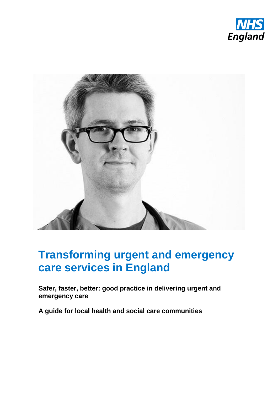



# **Transforming urgent and emergency care services in England**

**Safer, faster, better: good practice in delivering urgent and emergency care**

**A guide for local health and social care communities**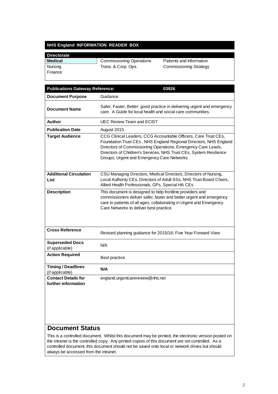#### **NHS England INFORMATION READER BOX**

| <b>Directorate</b> |                                 |                               |
|--------------------|---------------------------------|-------------------------------|
| Medical            | <b>Commissioning Operations</b> | Patients and Information      |
| Nursing            | Trans. & Corp. Ops.             | <b>Commissioning Strategy</b> |
| Finance            |                                 |                               |

| <b>Publications Gateway Reference:</b><br>03926   |                                                                                                                                                                                                                                                                                                                          |  |
|---------------------------------------------------|--------------------------------------------------------------------------------------------------------------------------------------------------------------------------------------------------------------------------------------------------------------------------------------------------------------------------|--|
| <b>Document Purpose</b>                           | Guidance                                                                                                                                                                                                                                                                                                                 |  |
| <b>Document Name</b>                              | Safer, Faster, Better: good practice in delivering urgent and emergency<br>care. A Guide for local health and social care communities.                                                                                                                                                                                   |  |
| Author                                            | <b>UEC Review Team and ECIST</b>                                                                                                                                                                                                                                                                                         |  |
| <b>Publication Date</b>                           | August 2015.                                                                                                                                                                                                                                                                                                             |  |
| <b>Target Audience</b>                            | CCG Clinical Leaders, CCG Accountable Officers, Care Trust CEs,<br>Foundation Trust CEs, NHS England Regional Directors, NHS England<br>Directors of Commissioning Operations, Emergency Care Leads,<br>Directors of Children's Services, NHS Trust CEs, System Resilience<br>Groups; Urgent and Emergency Care Networks |  |
| <b>Additional Circulation</b><br>List             | CSU Managing Directors, Medical Directors, Directors of Nursing,<br>Local Authority CEs, Directors of Adult SSs, NHS Trust Board Chairs,<br>Allied Health Professionals, GPs, Special HA CEs                                                                                                                             |  |
| <b>Description</b>                                | This document is designed to help frontline providers and<br>commissioners deliver safer, faster and better urgent and emergency<br>care to patients of all ages, collaborating in Urgent and Emergency<br>Care Networks to deliver best practice.                                                                       |  |
| <b>Cross Reference</b>                            | Revised planning guidance for 2015/16; Five Year Forward View                                                                                                                                                                                                                                                            |  |
| <b>Superseded Docs</b><br>(if applicable)         | N/A                                                                                                                                                                                                                                                                                                                      |  |
| <b>Action Required</b>                            | Best practice                                                                                                                                                                                                                                                                                                            |  |
| <b>Timing / Deadlines</b><br>(if applicable)      | N/A                                                                                                                                                                                                                                                                                                                      |  |
| <b>Contact Details for</b><br>further information | england.urgentcarereview@nhs.net                                                                                                                                                                                                                                                                                         |  |

#### **Document Status**

This is a controlled document. Whilst this document may be printed, the electronic version posted on the intranet is the controlled copy. Any printed copies of this document are not controlled. As a controlled document, this document should not be saved onto local or network drives but should always be accessed from the intranet.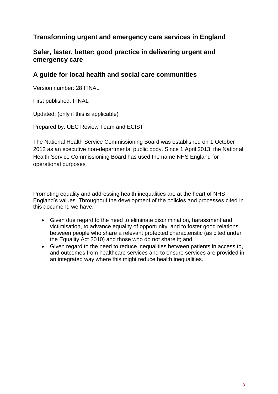### **Transforming urgent and emergency care services in England**

#### **Safer, faster, better: good practice in delivering urgent and emergency care**

#### **A guide for local health and social care communities**

Version number: 28 FINAL

First published: FINAL

Updated: (only if this is applicable)

Prepared by: UEC Review Team and ECIST

The National Health Service Commissioning Board was established on 1 October 2012 as an executive non-departmental public body. Since 1 April 2013, the National Health Service Commissioning Board has used the name NHS England for operational purposes*.* 

Promoting equality and addressing health inequalities are at the heart of NHS England's values. Throughout the development of the policies and processes cited in this document, we have:

- Given due regard to the need to eliminate discrimination, harassment and victimisation, to advance equality of opportunity, and to foster good relations between people who share a relevant protected characteristic (as cited under the Equality Act 2010) and those who do not share it; and
- Given regard to the need to reduce inequalities between patients in access to, and outcomes from healthcare services and to ensure services are provided in an integrated way where this might reduce health inequalities.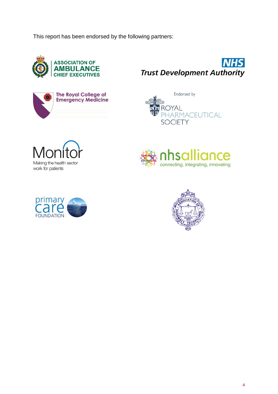This report has been endorsed by the following partners:















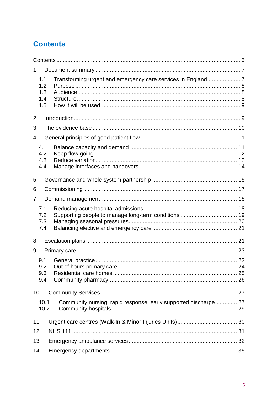# <span id="page-4-0"></span>**Contents**

| 1              |                                 |                                                                 |  |
|----------------|---------------------------------|-----------------------------------------------------------------|--|
|                | 1.1<br>1.2<br>1.3<br>1.4<br>1.5 |                                                                 |  |
| $\overline{2}$ |                                 |                                                                 |  |
| 3              |                                 |                                                                 |  |
| 4              |                                 |                                                                 |  |
|                | 4.1<br>4.2<br>4.3<br>4.4        |                                                                 |  |
| 5              |                                 |                                                                 |  |
| 6              |                                 |                                                                 |  |
| 7              |                                 |                                                                 |  |
|                | 7.1<br>7.2<br>7.3<br>7.4        |                                                                 |  |
| 8              |                                 |                                                                 |  |
| 9              |                                 |                                                                 |  |
|                | 9.1<br>9.2<br>9.3<br>9.4        |                                                                 |  |
| 10             |                                 |                                                                 |  |
|                | 10.1<br>10.2                    | Community nursing, rapid response, early supported discharge 27 |  |
| 11             |                                 |                                                                 |  |
|                | 12                              |                                                                 |  |
| 13             |                                 |                                                                 |  |
| 14             |                                 |                                                                 |  |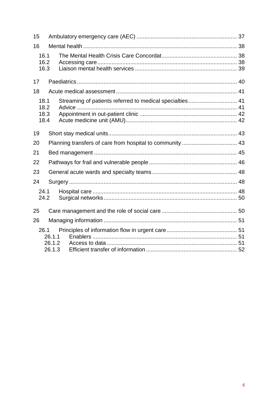| 15                           |                            |                                                          |  |  |
|------------------------------|----------------------------|----------------------------------------------------------|--|--|
| 16                           |                            |                                                          |  |  |
| 16.1<br>16.2<br>16.3         |                            |                                                          |  |  |
| 17                           |                            |                                                          |  |  |
| 18                           |                            |                                                          |  |  |
| 18.1<br>18.2<br>18.3<br>18.4 |                            | Streaming of patients referred to medical specialties 41 |  |  |
| 19                           |                            |                                                          |  |  |
| 20                           |                            |                                                          |  |  |
| 21                           |                            |                                                          |  |  |
| 22                           |                            |                                                          |  |  |
| 23                           |                            |                                                          |  |  |
| 24                           |                            |                                                          |  |  |
| 24.1<br>24.2                 |                            |                                                          |  |  |
| 25                           |                            |                                                          |  |  |
| 26                           |                            |                                                          |  |  |
| 26.1                         | 26.1.1<br>26.1.2<br>26.1.3 |                                                          |  |  |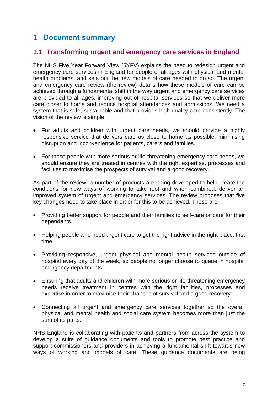### <span id="page-6-0"></span>**1 Document summary**

#### <span id="page-6-1"></span>**1.1 Transforming urgent and emergency care services in England**

The NHS Five Year Forward View (5YFV) explains the need to redesign urgent and emergency care services in England for people of all ages with physical and mental health problems, and sets out the new models of care needed to do so. The urgent and emergency care review (the review) details how these models of care can be achieved through a fundamental shift in the way urgent and emergency care services are provided to all ages, improving out-of-hospital services so that we deliver more care closer to home and reduce hospital attendances and admissions. We need a system that is safe, sustainable and that provides high quality care consistently. The vision of the review is simple:

- For adults and children with urgent care needs, we should provide a highly responsive service that delivers care as close to home as possible, minimising disruption and inconvenience for patients, carers and families.
- For those people with more serious or life-threatening emergency care needs, we should ensure they are treated in centres with the right expertise, processes and facilities to maximise the prospects of survival and a good recovery.

As part of the review, a number of products are being developed to help create the conditions for new ways of working to take root and when combined, deliver an improved system of urgent and emergency services. The review proposes that five key changes need to take place in order for this to be achieved. These are:

- Providing better support for people and their families to self-care or care for their dependants.
- Helping people who need urgent care to get the right advice in the right place, first time.
- Providing responsive, urgent physical and mental health services outside of hospital every day of the week, so people no longer choose to queue in hospital emergency departments.
- Ensuring that adults and children with more serious or life threatening emergency needs receive treatment in centres with the right facilities, processes and expertise in order to maximise their chances of survival and a good recovery.
- Connecting all urgent and emergency care services together so the overall physical and mental health and social care system becomes more than just the sum of its parts.

NHS England is collaborating with patients and partners from across the system to develop a suite of guidance documents and tools to promote best practice and support commissioners and providers in achieving a fundamental shift towards new ways of working and models of care. These guidance documents are being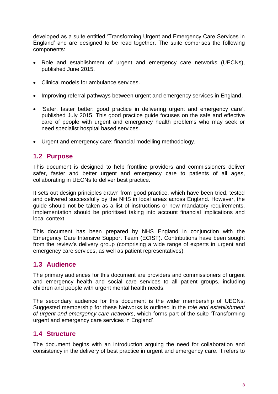developed as a suite entitled 'Transforming Urgent and Emergency Care Services in England' and are designed to be read together. The suite comprises the following components:

- Role and establishment of urgent and emergency care networks (UECNs), published June 2015.
- Clinical models for ambulance services.
- Improving referral pathways between urgent and emergency services in England.
- 'Safer, faster better: good practice in delivering urgent and emergency care', published July 2015. This good practice guide focuses on the safe and effective care of people with urgent and emergency health problems who may seek or need specialist hospital based services.
- Urgent and emergency care: financial modelling methodology.

#### <span id="page-7-0"></span>**1.2 Purpose**

This document is designed to help frontline providers and commissioners deliver safer, faster and better urgent and emergency care to patients of all ages, collaborating in UECNs to deliver best practice.

It sets out design principles drawn from good practice, which have been tried, tested and delivered successfully by the NHS in local areas across England. However, the guide should not be taken as a list of instructions or new mandatory requirements. Implementation should be prioritised taking into account financial implications and local context.

This document has been prepared by NHS England in conjunction with the Emergency Care Intensive Support Team (ECIST). Contributions have been sought from the review's delivery group (comprising a wide range of experts in urgent and emergency care services, as well as patient representatives).

#### <span id="page-7-1"></span>**1.3 Audience**

The primary audiences for this document are providers and commissioners of urgent and emergency health and social care services to all patient groups, including children and people with urgent mental health needs.

The secondary audience for this document is the wider membership of UECNs. Suggested membership for these Networks is outlined in the r*ole and establishment of urgent and emergency care networks*, which forms part of the suite 'Transforming urgent and emergency care services in England'.

#### <span id="page-7-2"></span>**1.4 Structure**

The document begins with an introduction arguing the need for collaboration and consistency in the delivery of best practice in urgent and emergency care. It refers to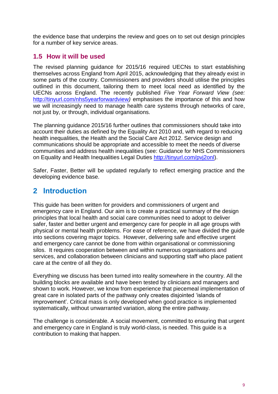the evidence base that underpins the review and goes on to set out design principles for a number of key service areas.

#### <span id="page-8-0"></span>**1.5 How it will be used**

The revised planning guidance for 2015/16 required UECNs to start establishing themselves across England from April 2015, acknowledging that they already exist in some parts of the country. Commissioners and providers should utilise the principles outlined in this document, tailoring them to meet local need as identified by the UECNs across England. The recently published *Five Year Forward View (see:* <http://tinyurl.com/nhs5yearforwardview>*)* emphasises the importance of this and how we will increasingly need to manage health care systems through networks of care, not just by, or through, individual organisations.

The planning guidance 2015/16 further outlines that commissioners should take into account their duties as defined by the Equality Act 2010 and, with regard to reducing health inequalities, the Health and the Social Care Act 2012. Service design and communications should be appropriate and accessible to meet the needs of diverse communities and address health inequalities (see: Guidance for NHS Commissioners on Equality and Health Inequalities Legal Duties [http://tinyurl.com/pvj2onl\)](http://tinyurl.com/pvj2onl).

Safer, Faster, Better will be updated regularly to reflect emerging practice and the developing evidence base.

### <span id="page-8-1"></span>**2 Introduction**

This guide has been written for providers and commissioners of urgent and emergency care in England. Our aim is to create a practical summary of the design principles that local health and social care communities need to adopt to deliver safer, faster and better urgent and emergency care for people in all age groups with physical or mental health problems. For ease of reference, we have divided the guide into sections covering major topics. However, delivering safe and effective urgent and emergency care cannot be done from within organisational or commissioning silos. It requires cooperation between and within numerous organisations and services, and collaboration between clinicians and supporting staff who place patient care at the centre of all they do.

Everything we discuss has been turned into reality somewhere in the country. All the building blocks are available and have been tested by clinicians and managers and shown to work. However, we know from experience that piecemeal implementation of great care in isolated parts of the pathway only creates disjointed 'islands of improvement'. Critical mass is only developed when good practice is implemented systematically, without unwarranted variation, along the entire pathway.

The challenge is considerable. A social movement, committed to ensuring that urgent and emergency care in England is truly world-class, is needed. This guide is a contribution to making that happen.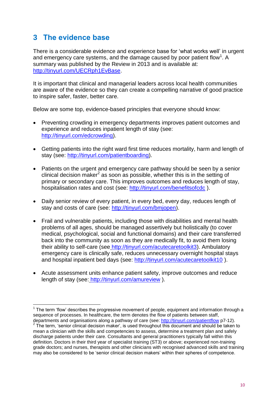### <span id="page-9-0"></span>**3 The evidence base**

l

There is a considerable evidence and experience base for 'what works well' in urgent and emergency care systems, and the damage caused by poor patient flow<sup>1</sup>. A summary was published by the Review in 2013 and is available at: [http://tinyurl.com/UECRph1EvBase.](http://tinyurl.com/UECRph1EvBase)

It is important that clinical and managerial leaders across local health communities are aware of the evidence so they can create a compelling narrative of good practice to inspire safer, faster, better care.

Below are some top, evidence-based principles that everyone should know:

- Preventing crowding in emergency departments improves patient outcomes and experience and reduces inpatient length of stay (see: [http://tinyurl.com/edcrowding\)](http://tinyurl.com/edcrowding).
- Getting patients into the right ward first time reduces mortality, harm and length of stay (see: [http://tinyurl.com/patientboarding\)](http://tinyurl.com/patientboarding).
- Patients on the urgent and emergency care pathway should be seen by a senior clinical decision maker<sup>2</sup> as soon as possible, whether this is in the setting of primary or secondary care. This improves outcomes and reduces length of stay, hospitalisation rates and cost (see: <http://tinyurl.com/benefitsofcdc>).
- Daily senior review of every patient, in every bed, every day, reduces length of stay and costs of care (see: [http://tinyurl.com/bmjopen\)](http://tinyurl.com/bmjopen).
- Frail and vulnerable patients, including those with disabilities and mental health problems of all ages, should be managed assertively but holistically (to cover medical, psychological, social and functional domains) and their care transferred back into the community as soon as they are medically fit, to avoid them losing their ability to self-care (see [http://tinyurl.com/acutecaretoolkit3\)](http://tinyurl.com/acutecaretoolkit3). Ambulatory emergency care is clinically safe, reduces unnecessary overnight hospital stays and hospital inpatient bed days (see: <http://tinyurl.com/acutecaretoolkit10> ).
- Acute assessment units enhance patient safety, improve outcomes and reduce length of stay (see: <http://tinyurl.com/amureview> ).

 $1$  The term 'flow' describes the progressive movement of people, equipment and information through a sequence of processes. In healthcare, the term denotes the flow of patients between staff,

departments and organisations along a pathway of care (see:<http://tinyurl.com/patientflow> p7-12).  $2$  The term, 'senior clinical decision maker', is used throughout this document and should be taken to mean a clinician with the skills and competencies to assess, determine a treatment plan and safely discharge patients under their care. Consultants and general practitioners typically fall within this definition. Doctors in their third year of specialist training (ST3) or above; experienced non-training grade doctors; and nurses, therapists and other clinicians with recognised advanced skills and training may also be considered to be 'senior clinical decision makers' within their spheres of competence.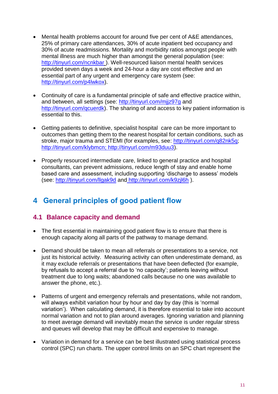- Mental health problems account for around five per cent of A&E attendances, 25% of primary care attendances, 30% of acute inpatient bed occupancy and 30% of acute readmissions. Mortality and morbidity ratios amongst people with mental illness are much higher than amongst the general population (see: <http://tinyurl.com/ncnkbar> ). Well-resourced liaison mental health services provided seven days a week and 24-hour a day are cost effective and an essential part of any urgent and emergency care system (see: [http://tinyurl.com/p4lwkox\)](http://tinyurl.com/p4lwkox).
- Continuity of care is a fundamental principle of safe and effective practice within, and between, all settings (see:<http://tinyurl.com/mjjz97g> and [http://tinyurl.com/qcuerdk\)](http://tinyurl.com/qcuerdk). The sharing of and access to key patient information is essential to this.
- Getting patients to definitive, specialist hospital care can be more important to outcomes than getting them to the nearest hospital for certain conditions, such as stroke, major trauma and STEMI (for examples, see: [http://tinyurl.com/q82nk5q;](http://tinyurl.com/q82nk5q) [http://tinyurl.com/klybmcn;](http://tinyurl.com/klybmcn) [http://tinyurl.com/m93duu3\)](http://tinyurl.com/m93duu3).
- Properly resourced intermediate care, linked to general practice and hospital consultants, can prevent admissions, reduce length of stay and enable home based care and assessment, including supporting 'discharge to assess' models (see:<http://tinyurl.com/llgak9d> and <http://tinyurl.com/k9zjl6h> ).

### <span id="page-10-0"></span>**4 General principles of good patient flow**

#### <span id="page-10-1"></span>**4.1 Balance capacity and demand**

- The first essential in maintaining good patient flow is to ensure that there is enough capacity along all parts of the pathway to manage demand.
- Demand should be taken to mean all referrals or presentations to a service, not just its historical activity. Measuring activity can often underestimate demand, as it may exclude referrals or presentations that have been deflected (for example, by refusals to accept a referral due to 'no capacity'; patients leaving without treatment due to long waits; abandoned calls because no one was available to answer the phone, etc.).
- Patterns of urgent and emergency referrals and presentations, while not random, will always exhibit variation hour by hour and day by day (this is 'normal variation'). When calculating demand, it is therefore essential to take into account normal variation and not to plan around averages. Ignoring variation and planning to meet average demand will inevitably mean the service is under regular stress and queues will develop that may be difficult and expensive to manage.
- Variation in demand for a service can be best illustrated using statistical process control (SPC) run charts. The upper control limits on an SPC chart represent the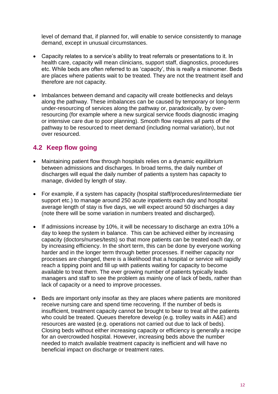level of demand that, if planned for, will enable to service consistently to manage demand, except in unusual circumstances.

- Capacity relates to a service's ability to treat referrals or presentations to it. In health care, capacity will mean clinicians, support staff, diagnostics, procedures etc. While beds are often referred to as 'capacity', this is really a misnomer. Beds are places where patients wait to be treated. They are not the treatment itself and therefore are not capacity.
- Imbalances between demand and capacity will create bottlenecks and delays along the pathway. These imbalances can be caused by temporary or long-term under-resourcing of services along the pathway or, paradoxically, by overresourcing (for example where a new surgical service floods diagnostic imaging or intensive care due to poor planning). Smooth flow requires all parts of the pathway to be resourced to meet demand (including normal variation), but not over resourced.

### <span id="page-11-0"></span>**4.2 Keep flow going**

- Maintaining patient flow through hospitals relies on a dynamic equilibrium between admissions and discharges. In broad terms, the daily number of discharges will equal the daily number of patients a system has capacity to manage, divided by length of stay.
- For example, if a system has capacity (hospital staff/procedures/intermediate tier support etc.) to manage around 250 acute inpatients each day and hospital average length of stay is five days, we will expect around 50 discharges a day (note there will be some variation in numbers treated and discharged).
- If admissions increase by 10%, it will be necessary to discharge an extra 10% a day to keep the system in balance. This can be achieved either by increasing capacity (doctors/nurses/tests) so that more patients can be treated each day, or by increasing efficiency. In the short term, this can be done by everyone working harder and in the longer term through better processes. If neither capacity nor processes are changed, there is a likelihood that a hospital or service will rapidly reach a tipping point and fill up with patients waiting for capacity to become available to treat them. The ever growing number of patients typically leads managers and staff to see the problem as mainly one of lack of beds, rather than lack of capacity or a need to improve processes.
- Beds are important only insofar as they are places where patients are monitored receive nursing care and spend time recovering. If the number of beds is insufficient, treatment capacity cannot be brought to bear to treat all the patients who could be treated. Queues therefore develop (e.g. trolley waits in A&E) and resources are wasted (e.g. operations not carried out due to lack of beds). Closing beds without either increasing capacity or efficiency is generally a recipe for an overcrowded hospital. However, increasing beds above the number needed to match available treatment capacity is inefficient and will have no beneficial impact on discharge or treatment rates.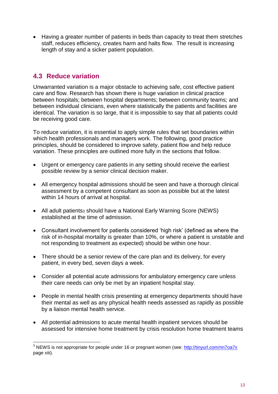Having a greater number of patients in beds than capacity to treat them stretches staff, reduces efficiency, creates harm and halts flow. The result is increasing length of stay and a sicker patient population.

### <span id="page-12-0"></span>**4.3 Reduce variation**

l

Unwarranted variation is a major obstacle to achieving safe, cost effective patient care and flow. Research has shown there is huge variation in clinical practice between hospitals; between hospital departments; between community teams; and between individual clinicians, even where statistically the patients and facilities are identical. The variation is so large, that it is impossible to say that all patients could be receiving good care.

To reduce variation, it is essential to apply simple rules that set boundaries within which health professionals and managers work. The following, good practice principles, should be considered to improve safety, patient flow and help reduce variation. These principles are outlined more fully in the sections that follow.

- Urgent or emergency care patients in any setting should receive the earliest possible review by a senior clinical decision maker.
- All emergency hospital admissions should be seen and have a thorough clinical assessment by a competent consultant as soon as possible but at the latest within 14 hours of arrival at hospital.
- All adult patients<sub>3</sub> should have a National Early Warning Score (NEWS) established at the time of admission.
- Consultant involvement for patients considered 'high risk' (defined as where the risk of in-hospital mortality is greater than 10%, or where a patient is unstable and not responding to treatment as expected) should be within one hour.
- There should be a senior review of the care plan and its delivery, for every patient, in every bed, seven days a week.
- Consider all potential acute admissions for ambulatory emergency care unless their care needs can only be met by an inpatient hospital stay.
- People in mental health crisis presenting at emergency departments should have their mental as well as any physical health needs assessed as rapidly as possible by a liaison mental health service.
- All potential admissions to acute mental health inpatient services should be assessed for intensive home treatment by crisis resolution home treatment teams

 $^3$  NEWS is not appropriate for people under 16 or pregnant women (see: <u>http://tinyurl.com/nn7oa7x</u> page xiii).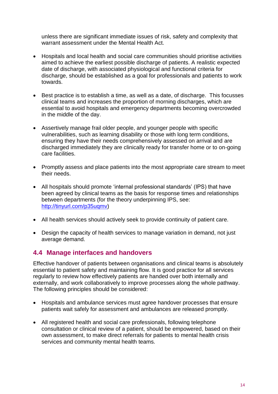unless there are significant immediate issues of risk, safety and complexity that warrant assessment under the Mental Health Act.

- Hospitals and local health and social care communities should prioritise activities aimed to achieve the earliest possible discharge of patients. A realistic expected date of discharge, with associated physiological and functional criteria for discharge, should be established as a goal for professionals and patients to work towards.
- Best practice is to establish a time, as well as a date, of discharge. This focusses clinical teams and increases the proportion of morning discharges, which are essential to avoid hospitals and emergency departments becoming overcrowded in the middle of the day.
- Assertively manage frail older people, and younger people with specific vulnerabilities, such as learning disability or those with long term conditions, ensuring they have their needs comprehensively assessed on arrival and are discharged immediately they are clinically ready for transfer home or to on-going care facilities.
- Promptly assess and place patients into the most appropriate care stream to meet their needs.
- All hospitals should promote 'internal professional standards' (IPS) that have been agreed by clinical teams as the basis for response times and relationships between departments (for the theory underpinning IPS, see: [http://tinyurl.com/p35uqmv\)](http://tinyurl.com/p35uqmv)
- All health services should actively seek to provide continuity of patient care.
- Design the capacity of health services to manage variation in demand, not just average demand.

#### <span id="page-13-0"></span>**4.4 Manage interfaces and handovers**

Effective handover of patients between organisations and clinical teams is absolutely essential to patient safety and maintaining flow. It is good practice for all services regularly to review how effectively patients are handed over both internally and externally, and work collaboratively to improve processes along the whole pathway. The following principles should be considered:

- Hospitals and ambulance services must agree handover processes that ensure patients wait safely for assessment and ambulances are released promptly.
- All registered health and social care professionals, following telephone consultation or clinical review of a patient, should be empowered, based on their own assessment, to make direct referrals for patients to mental health crisis services and community mental health teams.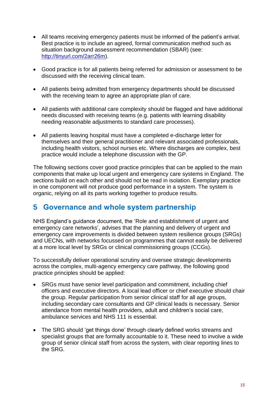- All teams receiving emergency patients must be informed of the patient's arrival. Best practice is to include an agreed, formal communication method such as situation background assessment recommendation (SBAR) (see: [http://tinyurl.com/2arr26m\)](http://tinyurl.com/2arr26m).
- Good practice is for all patients being referred for admission or assessment to be discussed with the receiving clinical team.
- All patients being admitted from emergency departments should be discussed with the receiving team to agree an appropriate plan of care.
- All patients with additional care complexity should be flagged and have additional needs discussed with receiving teams (e.g. patients with learning disability needing reasonable adjustments to standard care processes).
- All patients leaving hospital must have a completed e-discharge letter for themselves and their general practitioner and relevant associated professionals, including health visitors, school nurses etc. Where discharges are complex, best practice would include a telephone discussion with the GP.

The following sections cover good practice principles that can be applied to the main components that make up local urgent and emergency care systems in England. The sections build on each other and should not be read in isolation. Exemplary practice in one component will not produce good performance in a system. The system is organic, relying on all its parts working together to produce results.

### <span id="page-14-0"></span>**5 Governance and whole system partnership**

NHS England's guidance document, the ['Role and establishment of urgent and](http://www.nhs.uk/NHSEngland/keogh-review/Documents/Role-Networks-advice-RDs%201.1FV.pdf)  [emergency care networks',](http://www.nhs.uk/NHSEngland/keogh-review/Documents/Role-Networks-advice-RDs%201.1FV.pdf) advises that the planning and delivery of urgent and emergency care improvements is divided between system resilience groups (SRGs) and UECNs, with networks focussed on programmes that cannot easily be delivered at a more local level by SRGs or clinical commissioning groups (CCGs).

To successfully deliver operational scrutiny and oversee strategic developments across the complex, multi-agency emergency care pathway, the following good practice principles should be applied:

- SRGs must have senior level participation and commitment, including chief officers and executive directors. A local lead officer or chief executive should chair the group. Regular participation from senior clinical staff for all age groups, including secondary care consultants and GP clinical leads is necessary. Senior attendance from mental health providers, adult and children's social care, ambulance services and NHS 111 is essential.
- The SRG should 'get things done' through clearly defined works streams and specialist groups that are formally accountable to it. These need to involve a wide group of senior clinical staff from across the system, with clear reporting lines to the SRG.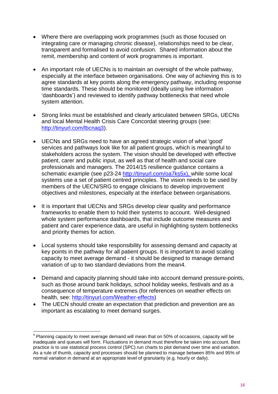- Where there are overlapping work programmes (such as those focused on integrating care or managing chronic disease), relationships need to be clear, transparent and formalised to avoid confusion. Shared information about the remit, membership and content of work programmes is important.
- An important role of UECNs is to maintain an oversight of the whole pathway, especially at the interface between organisations. One way of achieving this is to agree standards at key points along the emergency pathway, including response time standards. These should be monitored (ideally using live information 'dashboards') and reviewed to identify pathway bottlenecks that need whole system attention.
- Strong links must be established and clearly articulated between SRGs, UECNs and local Mental Health Crisis Care Concordat steering groups (see: [http://tinyurl.com/lbcnaq3\)](http://tinyurl.com/lbcnaq3).
- UECNs and SRGs need to have an agreed strategic vision of what 'good' services and pathways look like for all patient groups, which is meaningful to stakeholders across the system. The vision should be developed with effective patient, carer and public input, as well as that of health and social care professionals and managers. The 2014/15 resilience guidance contains a schematic example (see p23-24 [http://tinyurl.com/oa7ks5x\)](http://tinyurl.com/oa7ks5x), while some local systems use a set of patient centred principles. The vision needs to be used by members of the UECN/SRG to engage clinicians to develop improvement objectives and milestones, especially at the interface between organisations.
- It is important that UECNs and SRGs develop clear quality and performance frameworks to enable them to hold their systems to account. Well-designed whole system performance dashboards, that include outcome measures and patient and carer experience data, are useful in highlighting system bottlenecks and priority themes for action.
- Local systems should take responsibility for assessing demand and capacity at key points in the pathway for all patient groups. It is important to avoid scaling capacity to meet average demand - it should be designed to manage demand variation of up to two standard deviations from the mean4.
- Demand and capacity planning should take into account demand pressure-points, such as those around bank holidays, school holiday weeks, festivals and as a consequence of temperature extremes (for references on weather effects on health, see: [http://tinyurl.com/Weather-effects\)](http://tinyurl.com/Weather-effects)
- The UECN should create an expectation that prediction and prevention are as important as escalating to meet demand surges.

l  $4$  Planning capacity to meet average demand will mean that on 50% of occasions, capacity will be inadequate and queues will form. Fluctuations in demand must therefore be taken into account. Best practice is to use statistical process control (SPC) run charts to plot demand over time and variation. As a rule of thumb, capacity and processes should be planned to manage between 85% and 95% of normal variation in demand at an appropriate level of granularity (e.g. hourly or daily).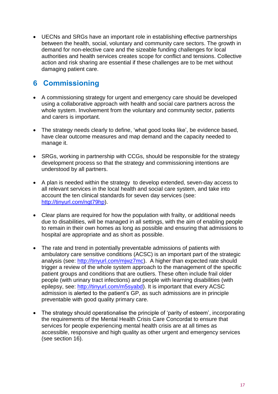UECNs and SRGs have an important role in establishing effective partnerships between the health, social, voluntary and community care sectors. The growth in demand for non-elective care and the sizeable funding challenges for local authorities and health services creates scope for conflict and tensions. Collective action and risk sharing are essential if these challenges are to be met without damaging patient care.

### <span id="page-16-0"></span>**6 Commissioning**

- A commissioning strategy for urgent and emergency care should be developed using a collaborative approach with health and social care partners across the whole system. Involvement from the voluntary and community sector, patients and carers is important.
- The strategy needs clearly to define, 'what good looks like', be evidence based, have clear outcome measures and map demand and the capacity needed to manage it.
- SRGs, working in partnership with CCGs, should be responsible for the strategy development process so that the strategy and commissioning intentions are understood by all partners.
- A plan is needed within the strategy to develop extended, seven-day access to all relevant services in the local health and social care system, and take into account the ten clinical standards for seven day services (see: [http://tinyurl.com/ngt79hp\)](http://tinyurl.com/ngt79hp).
- Clear plans are required for how the population with frailty, or additional needs due to disabilities, will be managed in all settings, with the aim of enabling people to remain in their own homes as long as possible and ensuring that admissions to hospital are appropriate and as short as possible.
- The rate and trend in potentially preventable admissions of patients with ambulatory care sensitive conditions (ACSC) is an important part of the strategic analysis (see: [http://tinyurl.com/mjwz7mc\)](http://tinyurl.com/mjwz7mc). A higher than expected rate should trigger a review of the whole system approach to the management of the specific patient groups and conditions that are outliers. These often include frail older people (with urinary tract infections) and people with learning disabilities (with epilepsy, see: [http://tinyurl.com/m5syabd\)](http://tinyurl.com/m5syabd). It is important that every ACSC admission is alerted to the patient's GP, as such admissions are in principle preventable with good quality primary care.
- The strategy should operationalise the principle of 'parity of esteem', incorporating the requirements of the Mental Health Crisis Care Concordat to ensure that services for people experiencing mental health crisis are at all times as accessible, responsive and high quality as other urgent and emergency services (see section 16).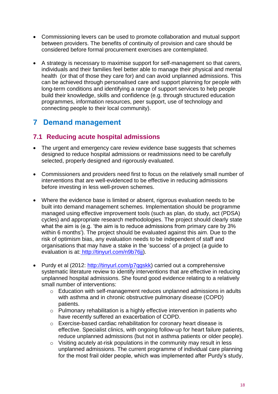- Commissioning levers can be used to promote collaboration and mutual support between providers. The benefits of continuity of provision and care should be considered before formal procurement exercises are contemplated.
- A strategy is necessary to maximise support for self-management so that carers, individuals and their families feel better able to manage their physical and mental health (or that of those they care for) and can avoid unplanned admissions. This can be achieved through personalised care and support planning for people with long-term conditions and identifying a range of support services to help people build their knowledge, skills and confidence (e.g. through structured education programmes, information resources, peer support, use of technology and connecting people to their local community).

### <span id="page-17-0"></span>**7 Demand management**

### <span id="page-17-1"></span>**7.1 Reducing acute hospital admissions**

- The urgent and emergency care review [evidence base](http://www.nhs.uk/NHSEngland/keogh-review/Documents/UECR.Ph1Report.Appendix%201.EvBase.FV.pdf) suggests that schemes designed to reduce hospital admissions or readmissions need to be carefully selected, properly designed and rigorously evaluated.
- Commissioners and providers need first to focus on the relatively small number of interventions that are well-evidenced to be effective in reducing admissions before investing in less well-proven schemes.
- Where the evidence base is limited or absent, rigorous evaluation needs to be built into demand management schemes. Implementation should be programme managed using effective improvement tools (such as plan, do study, act (PDSA) cycles) and appropriate research methodologies. The project should clearly state what the aim is (e.g. 'the aim is to reduce admissions from primary care by 3% within 6 months'). The project should be evaluated against this aim. Due to the risk of optimism bias, any evaluation needs to be independent of staff and organisations that may have a stake in the 'success' of a project (a guide to evaluation is at: [http://tinyurl.com/n9b76jj\)](http://tinyurl.com/n9b76jj).
- Purdy et al (2012: [http://tinyurl.com/p7qgskk\)](http://tinyurl.com/p7qgskk) carried out a comprehensive systematic literature review to identify interventions that are effective in reducing unplanned hospital admissions. She found good evidence relating to a relatively small number of interventions:
	- o Education with self-management reduces unplanned admissions in adults with asthma and in chronic obstructive pulmonary disease (COPD) patients.
	- o Pulmonary rehabilitation is a highly effective intervention in patients who have recently suffered an exacerbation of COPD.
	- o Exercise-based cardiac rehabilitation for coronary heart disease is effective. Specialist clinics, with ongoing follow-up for heart failure patients, reduce unplanned admissions (but not in asthma patients or older people).
	- o Visiting acutely at-risk populations in the community may result in less unplanned admissions. The current programme of individual care planning for the most frail older people, which was implemented after Purdy's study,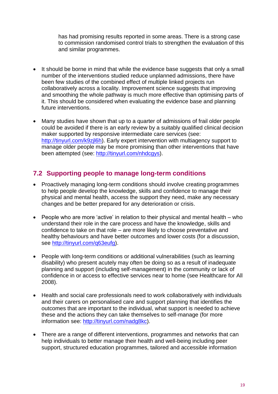has had promising results reported in some areas. There is a strong case to commission randomised control trials to strengthen the evaluation of this and similar programmes.

- It should be borne in mind that while the evidence base suggests that only a small number of the interventions studied reduce unplanned admissions, there have been few studies of the combined effect of multiple linked projects run collaboratively across a locality. Improvement science suggests that improving and smoothing the whole pathway is much more effective than optimising parts of it. This should be considered when evaluating the evidence base and planning future interventions.
- Many studies have shown that up to a quarter of admissions of frail older people could be avoided if there is an early review by a suitably qualified clinical decision maker supported by responsive intermediate care services (see: [http://tinyurl.com/k9zjl6h\)](http://tinyurl.com/k9zjl6h). Early expert intervention with multiagency support to manage older people may be more promising than other interventions that have been attempted (see: [http://tinyurl.com/nhdcgys\)](http://tinyurl.com/nhdcgys).

### <span id="page-18-0"></span>**7.2 Supporting people to manage long-term conditions**

- Proactively managing long-term conditions should involve creating programmes to help people develop the knowledge, skills and confidence to manage their physical and mental health, access the support they need, make any necessary changes and be better prepared for any deterioration or crisis.
- People who are more 'active' in relation to their physical and mental health who understand their role in the care process and have the knowledge, skills and confidence to take on that role – are more likely to choose preventative and healthy behaviours and have better outcomes and lower costs (for a discussion, see [http://tinyurl.com/q63eufg\)](http://tinyurl.com/q63eufg).
- People with long-term conditions or additional vulnerabilities (such as learning disability) who present acutely may often be doing so as a result of inadequate planning and support (including self-management) in the community or lack of confidence in or access to effective services near to home (see Healthcare for All 2008).
- Health and social care professionals need to work collaboratively with individuals and their carers on personalised care and support planning that identifies the outcomes that are important to the individual, what support is needed to achieve these and the actions they can take themselves to self-manage (for more information see: [http://tinyurl.com/nadg8kc\)](http://tinyurl.com/nadg8kc).
- There are a range of different interventions, programmes and networks that can help individuals to better manage their health and well-being including peer support, structured education programmes, tailored and accessible information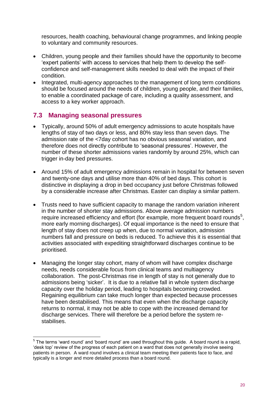resources, health coaching, behavioural change programmes, and linking people to voluntary and community resources.

- Children, young people and their families should have the opportunity to become 'expert patients' with access to services that help them to develop the selfconfidence and self-management skills needed to deal with the impact of their condition.
- Integrated, multi-agency approaches to the management of long term conditions should be focused around the needs of children, young people, and their families, to enable a coordinated package of care, including a quality assessment, and access to a key worker approach.

#### <span id="page-19-0"></span>**7.3 Managing seasonal pressures**

- Typically, around 50% of adult emergency admissions to acute hospitals have lengths of stay of two days or less, and 80% stay less than seven days. The admission rate of the <7day cohort has no obvious seasonal variation, and therefore does not directly contribute to 'seasonal pressures'. However, the number of these shorter admissions varies randomly by around 25%, which can trigger in-day bed pressures.
- Around 15% of adult emergency admissions remain in hospital for between seven and twenty-one days and utilise more than 40% of bed days. This cohort is distinctive in displaying a drop in bed occupancy just before Christmas followed by a considerable increase after Christmas. Easter can display a similar pattern.
- Trusts need to have sufficient capacity to manage the random variation inherent in the number of shorter stay admissions. Above average admission numbers require increased efficiency and effort (for example, more frequent board rounds<sup>5</sup>, more early morning discharges). Of equal importance is the need to ensure that length of stay does not creep up when, due to normal variation, admission numbers fall and pressure on beds is reduced. To achieve this it is essential that activities associated with expediting straightforward discharges continue to be prioritised.
- Managing the longer stay cohort, many of whom will have complex discharge needs, needs considerable focus from clinical teams and multiagency collaboration. The post-Christmas rise in length of stay is not generally due to admissions being 'sicker'. It is due to a relative fall in whole system discharge capacity over the holiday period, leading to hospitals becoming crowded. Regaining equilibrium can take much longer than expected because processes have been destabilised. This means that even when the discharge capacity returns to normal, it may not be able to cope with the increased demand for discharge services. There will therefore be a period before the system restabilises.

<sup>————————————————————&</sup>lt;br><sup>5</sup> The terms 'ward round' and 'board round' are used throughout this guide. A board round is a rapid, 'desk top' review of the progress of each patient on a ward that does not generally involve seeing patients in person. A ward round involves a clinical team meeting their patients face to face, and typically is a longer and more detailed process than a board round.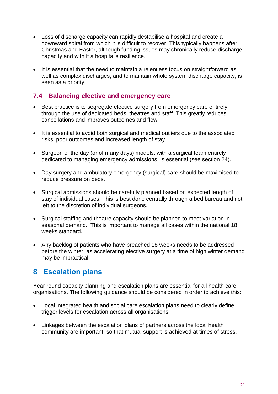- Loss of discharge capacity can rapidly destabilise a hospital and create a downward spiral from which it is difficult to recover. This typically happens after Christmas and Easter, although funding issues may chronically reduce discharge capacity and with it a hospital's resilience.
- It is essential that the need to maintain a relentless focus on straightforward as well as complex discharges, and to maintain whole system discharge capacity, is seen as a priority.

#### <span id="page-20-0"></span>**7.4 Balancing elective and emergency care**

- Best practice is to segregate elective surgery from emergency care entirely through the use of dedicated beds, theatres and staff. This greatly reduces cancellations and improves outcomes and flow.
- It is essential to avoid both surgical and medical outliers due to the associated risks, poor outcomes and increased length of stay.
- Surgeon of the day (or of many days) models, with a surgical team entirely dedicated to managing emergency admissions, is essential (see section 24).
- Day surgery and ambulatory emergency (surgical) care should be maximised to reduce pressure on beds.
- Surgical admissions should be carefully planned based on expected length of stay of individual cases. This is best done centrally through a bed bureau and not left to the discretion of individual surgeons.
- Surgical staffing and theatre capacity should be planned to meet variation in seasonal demand. This is important to manage all cases within the national 18 weeks standard.
- Any backlog of patients who have breached 18 weeks needs to be addressed before the winter, as accelerating elective surgery at a time of high winter demand may be impractical.

### <span id="page-20-1"></span>**8 Escalation plans**

Year round capacity planning and escalation plans are essential for all health care organisations. The following guidance should be considered in order to achieve this:

- Local integrated health and social care escalation plans need to clearly define trigger levels for escalation across all organisations.
- Linkages between the escalation plans of partners across the local health community are important, so that mutual support is achieved at times of stress.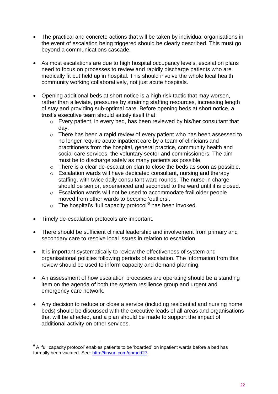- The practical and concrete actions that will be taken by individual organisations in the event of escalation being triggered should be clearly described. This must go beyond a communications cascade.
- As most escalations are due to high hospital occupancy levels, escalation plans need to focus on processes to review and rapidly discharge patients who are medically fit but held up in hospital. This should involve the whole local health community working collaboratively, not just acute hospitals.
- Opening additional beds at short notice is a high risk tactic that may worsen, rather than alleviate, pressures by straining staffing resources, increasing length of stay and providing sub-optimal care. Before opening beds at short notice, a trust's executive team should satisfy itself that:
	- o Every patient, in every bed, has been reviewed by his/her consultant that day.
	- o There has been a rapid review of every patient who has been assessed to no longer require acute inpatient care by a team of clinicians and practitioners from the hospital, general practice, community health and social care services, the voluntary sector and commissioners. The aim must be to discharge safely as many patients as possible.
	- o There is a clear de-escalation plan to close the beds as soon as possible.
	- o Escalation wards will have dedicated consultant, nursing and therapy staffing, with twice daily consultant ward rounds. The nurse in charge should be senior, experienced and seconded to the ward until it is closed.
	- o Escalation wards will not be used to accommodate frail older people moved from other wards to become 'outliers'.
	- $\circ$  The hospital's 'full capacity protocol'<sup>6</sup> has been invoked.
- Timely de-escalation protocols are important.
- There should be sufficient clinical leadership and involvement from primary and secondary care to resolve local issues in relation to escalation.
- It is important systematically to review the effectiveness of system and organisational policies following periods of escalation. The information from this review should be used to inform capacity and demand planning.
- An assessment of how escalation processes are operating should be a standing item on the agenda of both the system resilience group and urgent and emergency care network.
- Any decision to reduce or close a service (including residential and nursing home beds) should be discussed with the executive leads of all areas and organisations that will be affected, and a plan should be made to support the impact of additional activity on other services.

 6 A 'full capacity protocol' enables patients to be 'boarded' on inpatient wards before a bed has formally been vacated. See: [http://tinyurl.com/qbmdd27.](http://tinyurl.com/qbmdd27)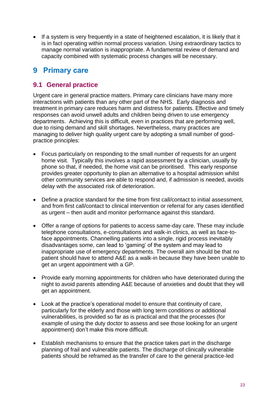• If a system is very frequently in a state of heightened escalation, it is likely that it is in fact operating within normal process variation. Using extraordinary tactics to manage normal variation is inappropriate. A fundamental review of demand and capacity combined with systematic process changes will be necessary.

### <span id="page-22-0"></span>**9 Primary care**

#### <span id="page-22-1"></span>**9.1 General practice**

Urgent care in general practice matters. Primary care clinicians have many more interactions with patients than any other part of the NHS. Early diagnosis and treatment in primary care reduces harm and distress for patients. Effective and timely responses can avoid unwell adults and children being driven to use emergency departments. Achieving this is difficult, even in practices that are performing well, due to rising demand and skill shortages. Nevertheless, many practices are managing to deliver high quality urgent care by adopting a small number of goodpractice principles:

- Focus particularly on responding to the small number of requests for an urgent home visit. Typically this involves a rapid assessment by a clinician, usually by phone so that, if needed, the home visit can be prioritised. This early response provides greater opportunity to plan an alternative to a hospital admission whilst other community services are able to respond and, if admission is needed, avoids delay with the associated risk of deterioration.
- Define a practice standard for the time from first call/contact to initial assessment, and from first call/contact to clinical intervention or referral for any cases identified as urgent – then audit and monitor performance against this standard.
- Offer a range of options for patients to access same-day care. These may include telephone consultations, e-consultations and walk-in clinics, as well as face-toface appointments. Channelling patients into a single, rigid process inevitably disadvantages some, can lead to 'gaming' of the system and may lead to inappropriate use of emergency departments. The overall aim should be that no patient should have to attend A&E as a walk-in because they have been unable to get an urgent appointment with a GP.
- Provide early morning appointments for children who have deteriorated during the night to avoid parents attending A&E because of anxieties and doubt that they will get an appointment.
- Look at the practice's operational model to ensure that continuity of care, particularly for the elderly and those with long term conditions or additional vulnerabilities, is provided so far as is practical and that the processes (for example of using the duty doctor to assess and see those looking for an urgent appointment) don't make this more difficult.
- Establish mechanisms to ensure that the practice takes part in the discharge planning of frail and vulnerable patients. The discharge of clinically vulnerable patients should be reframed as the transfer of care to the general practice-led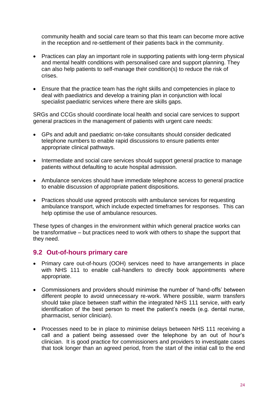community health and social care team so that this team can become more active in the reception and re-settlement of their patients back in the community.

- Practices can play an important role in supporting patients with long-term physical and mental health conditions with personalised care and support planning. They can also help patients to self-manage their condition(s) to reduce the risk of crises.
- Ensure that the practice team has the right skills and competencies in place to deal with paediatrics and develop a training plan in conjunction with local specialist paediatric services where there are skills gaps.

SRGs and CCGs should coordinate local health and social care services to support general practices in the management of patients with urgent care needs:

- GPs and adult and paediatric on-take consultants should consider dedicated telephone numbers to enable rapid discussions to ensure patients enter appropriate clinical pathways.
- Intermediate and social care services should support general practice to manage patients without defaulting to acute hospital admission.
- Ambulance services should have immediate telephone access to general practice to enable discussion of appropriate patient dispositions.
- Practices should use agreed protocols with ambulance services for requesting ambulance transport, which include expected timeframes for responses. This can help optimise the use of ambulance resources.

These types of changes in the environment within which general practice works can be transformative – but practices need to work with others to shape the support that they need.

#### <span id="page-23-0"></span>**9.2 Out-of-hours primary care**

- Primary care out-of-hours (OOH) services need to have arrangements in place with NHS 111 to enable call-handlers to directly book appointments where appropriate.
- Commissioners and providers should minimise the number of 'hand-offs' between different people to avoid unnecessary re-work. Where possible, warm transfers should take place between staff within the integrated NHS 111 service, with early identification of the best person to meet the patient's needs (e.g. dental nurse, pharmacist, senior clinician).
- Processes need to be in place to minimise delays between NHS 111 receiving a call and a patient being assessed over the telephone by an out of hour's clinician. It is good practice for commissioners and providers to investigate cases that took longer than an agreed period, from the start of the initial call to the end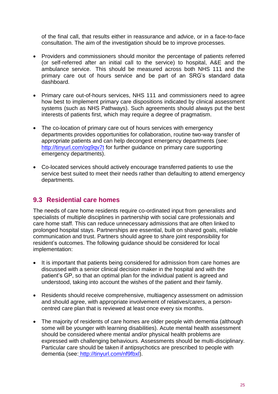of the final call, that results either in reassurance and advice, or in a face-to-face consultation. The aim of the investigation should be to improve processes.

- Providers and commissioners should monitor the percentage of patients referred (or self-referred after an initial call to the service) to hospital, A&E and the ambulance service. This should be measured across both NHS 111 and the primary care out of hours service and be part of an SRG's standard data dashboard.
- Primary care out-of-hours services, NHS 111 and commissioners need to agree how best to implement primary care dispositions indicated by clinical assessment systems (such as NHS Pathways). Such agreements should always put the best interests of patients first, which may require a degree of pragmatism.
- The co-location of primary care out of hours services with emergency departments provides opportunities for collaboration, routine two-way transfer of appropriate patients and can help decongest emergency departments (see: <http://tinyurl.com/og9qv7t> for further guidance on primary care supporting emergency departments).
- Co-located services should actively encourage transferred patients to use the service best suited to meet their needs rather than defaulting to attend emergency departments.

#### <span id="page-24-0"></span>**9.3 Residential care homes**

The needs of care home residents require co-ordinated input from generalists and specialists of multiple disciplines in partnership with social care professionals and care home staff. This can reduce unnecessary admissions that are often linked to prolonged hospital stays. Partnerships are essential, built on shared goals, reliable communication and trust. Partners should agree to share joint responsibility for resident's outcomes. The following guidance should be considered for local implementation:

- It is important that patients being considered for admission from care homes are discussed with a senior clinical decision maker in the hospital and with the patient's GP, so that an optimal plan for the individual patient is agreed and understood, taking into account the wishes of the patient and their family.
- Residents should receive comprehensive, multiagency assessment on admission and should agree, with appropriate involvement of relatives/carers, a personcentred care plan that is reviewed at least once every six months.
- The majority of residents of care homes are older people with dementia (although some will be younger with learning disabilities). Acute mental health assessment should be considered where mental and/or physical health problems are expressed with challenging behaviours. Assessments should be multi-disciplinary. Particular care should be taken if antipsychotics are prescribed to people with dementia (see: [http://tinyurl.com/nf9fbxl\)](http://tinyurl.com/nf9fbxl).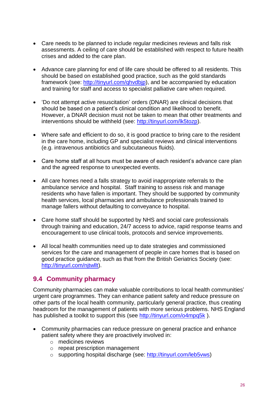- Care needs to be planned to include regular medicines reviews and falls risk assessments. A ceiling of care should be established with respect to future health crises and added to the care plan.
- Advance care planning for end of life care should be offered to all residents. This should be based on established good practice, such as the gold standards framework (see: [http://tinyurl.com/qhvdbjp\)](http://tinyurl.com/qhvdbjp), and be accompanied by education and training for staff and access to specialist palliative care when required.
- 'Do not attempt active resuscitation' orders (DNAR) are clinical decisions that should be based on a patient's clinical condition and likelihood to benefit. However, a DNAR decision must not be taken to mean that other treatments and interventions should be withheld (see: [http://tinyurl.com/lk5tozp\)](http://tinyurl.com/lk5tozp).
- Where safe and efficient to do so, it is good practice to bring care to the resident in the care home, including GP and specialist reviews and clinical interventions (e.g. intravenous antibiotics and subcutaneous fluids).
- Care home staff at all hours must be aware of each resident's advance care plan and the agreed response to unexpected events.
- All care homes need a falls strategy to avoid inappropriate referrals to the ambulance service and hospital. Staff training to assess risk and manage residents who have fallen is important. They should be supported by community health services, local pharmacies and ambulance professionals trained to manage fallers without defaulting to conveyance to hospital.
- Care home staff should be supported by NHS and social care professionals through training and education, 24/7 access to advice, rapid response teams and encouragement to use clinical tools, protocols and service improvements.
- All local health communities need up to date strategies and commissioned services for the care and management of people in care homes that is based on good practice guidance, such as that from the British Geriatrics Society (see: [http://tinyurl.com/njtwllt\)](http://tinyurl.com/njtwllt).

#### <span id="page-25-0"></span>**9.4 Community pharmacy**

Community pharmacies can make valuable contributions to local health communities' urgent care programmes. They can enhance patient safety and reduce pressure on other parts of the local health community, particularly general practice, thus creating headroom for the management of patients with more serious problems. NHS England has published a toolkit to support this (see<http://tinyurl.com/o4mpq5k>).

- Community pharmacies can reduce pressure on general practice and enhance patient safety where they are proactively involved in:
	- o medicines reviews
	- o repeat prescription management
	- o supporting hospital discharge (see: [http://tinyurl.com/leb5vws\)](http://tinyurl.com/leb5vws)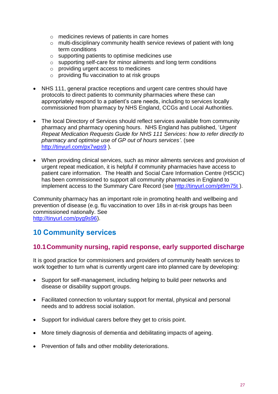- o medicines reviews of patients in care homes
- o multi-disciplinary community health service reviews of patient with long term conditions
- o supporting patients to optimise medicines use
- o supporting self-care for minor ailments and long term conditions
- o providing urgent access to medicines
- o providing flu vaccination to at risk groups
- NHS 111, general practice receptions and urgent care centres should have protocols to direct patients to community pharmacies where these can appropriately respond to a patient's care needs, including to services locally commissioned from pharmacy by NHS England, CCGs and Local Authorities.
- The local Directory of Services should reflect services available from community pharmacy and pharmacy opening hours. NHS England has published, '*Urgent Repeat Medication Requests Guide for NHS 111 Services: how to refer directly to pharmacy and optimise use of GP out of hours services'*. (see <http://tinyurl.com/px7wps9> ).
- When providing clinical services, such as minor ailments services and provision of urgent repeat medication, it is helpful if community pharmacies have access to patient care information. The Health and Social Care Information Centre (HSCIC) has been commissioned to support all community pharmacies in England to implement access to the Summary Care Record (see<http://tinyurl.com/pt9m75t>).

Community pharmacy has an important role in promoting health and wellbeing and prevention of disease (e.g. flu vaccination to over 18s in at-risk groups has been commissioned nationally. See [http://tinyurl.com/pyg9s96\)](http://tinyurl.com/pyg9s96).

### <span id="page-26-0"></span>**10 Community services**

#### <span id="page-26-1"></span>**10.1Community nursing, rapid response, early supported discharge**

It is good practice for commissioners and providers of community health services to work together to turn what is currently urgent care into planned care by developing:

- Support for self-management, including helping to build peer networks and disease or disability support groups.
- Facilitated connection to voluntary support for mental, physical and personal needs and to address social isolation.
- Support for individual carers before they get to crisis point.
- More timely diagnosis of dementia and debilitating impacts of ageing.
- Prevention of falls and other mobility deteriorations.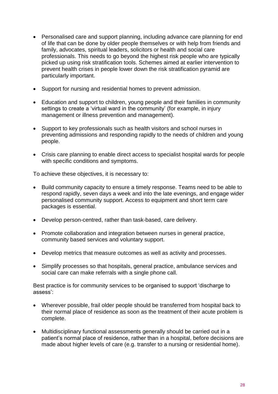- Personalised care and support planning, including advance care planning for end of life that can be done by older people themselves or with help from friends and family, advocates, spiritual leaders, solicitors or health and social care professionals. This needs to go beyond the highest risk people who are typically picked up using risk stratification tools. Schemes aimed at earlier intervention to prevent health crises in people lower down the risk stratification pyramid are particularly important.
- Support for nursing and residential homes to prevent admission.
- Education and support to children, young people and their families in community settings to create a 'virtual ward in the community' (for example, in injury management or illness prevention and management).
- Support to key professionals such as health visitors and school nurses in preventing admissions and responding rapidly to the needs of children and young people.
- Crisis care planning to enable direct access to specialist hospital wards for people with specific conditions and symptoms.

To achieve these objectives, it is necessary to:

- Build community capacity to ensure a timely response. Teams need to be able to respond rapidly, seven days a week and into the late evenings, and engage wider personalised community support. Access to equipment and short term care packages is essential.
- Develop person-centred, rather than task-based, care delivery.
- Promote collaboration and integration between nurses in general practice, community based services and voluntary support.
- Develop metrics that measure outcomes as well as activity and processes.
- Simplify processes so that hospitals, general practice, ambulance services and social care can make referrals with a single phone call.

Best practice is for community services to be organised to support 'discharge to assess':

- Wherever possible, frail older people should be transferred from hospital back to their normal place of residence as soon as the treatment of their acute problem is complete.
- Multidisciplinary functional assessments generally should be carried out in a patient's normal place of residence, rather than in a hospital, before decisions are made about higher levels of care (e.g. transfer to a nursing or residential home).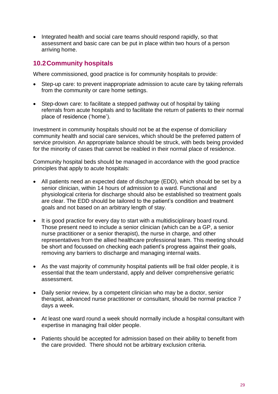• Integrated health and social care teams should respond rapidly, so that assessment and basic care can be put in place within two hours of a person arriving home.

### <span id="page-28-0"></span>**10.2Community hospitals**

Where commissioned, good practice is for community hospitals to provide:

- Step-up care: to prevent inappropriate admission to acute care by taking referrals from the community or care home settings.
- Step-down care: to facilitate a stepped pathway out of hospital by taking referrals from acute hospitals and to facilitate the return of patients to their normal place of residence ('home').

Investment in community hospitals should not be at the expense of domiciliary community health and social care services, which should be the preferred pattern of service provision. An appropriate balance should be struck, with beds being provided for the minority of cases that cannot be reabled in their normal place of residence.

Community hospital beds should be managed in accordance with the good practice principles that apply to acute hospitals:

- All patients need an expected date of discharge (EDD), which should be set by a senior clinician, within 14 hours of admission to a ward. Functional and physiological criteria for discharge should also be established so treatment goals are clear. The EDD should be tailored to the patient's condition and treatment goals and not based on an arbitrary length of stay.
- It is good practice for every day to start with a multidisciplinary board round. Those present need to include a senior clinician (which can be a GP, a senior nurse practitioner or a senior therapist), the nurse in charge, and other representatives from the allied healthcare professional team. This meeting should be short and focussed on checking each patient's progress against their goals, removing any barriers to discharge and managing internal waits.
- As the vast majority of community hospital patients will be frail older people, it is essential that the team understand, apply and deliver comprehensive geriatric assessment.
- Daily senior review, by a competent clinician who may be a doctor, senior therapist, advanced nurse practitioner or consultant, should be normal practice 7 days a week.
- At least one ward round a week should normally include a hospital consultant with expertise in managing frail older people.
- Patients should be accepted for admission based on their ability to benefit from the care provided. There should not be arbitrary exclusion criteria.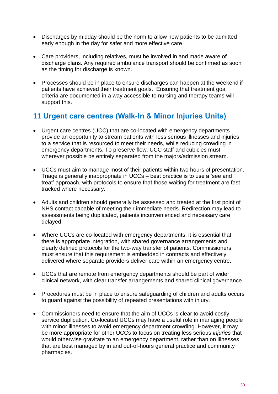- Discharges by midday should be the norm to allow new patients to be admitted early enough in the day for safer and more effective care.
- Care providers, including relatives, must be involved in and made aware of discharge plans. Any required ambulance transport should be confirmed as soon as the timing for discharge is known.
- Processes should be in place to ensure discharges can happen at the weekend if patients have achieved their treatment goals. Ensuring that treatment goal criteria are documented in a way accessible to nursing and therapy teams will support this.

### <span id="page-29-0"></span>**11 Urgent care centres (Walk-In & Minor Injuries Units)**

- Urgent care centres (UCC) that are co-located with emergency departments provide an opportunity to stream patients with less serious illnesses and injuries to a service that is resourced to meet their needs, while reducing crowding in emergency departments. To preserve flow, UCC staff and cubicles must wherever possible be entirely separated from the majors/admission stream.
- UCCs must aim to manage most of their patients within two hours of presentation. Triage is generally inappropriate in UCCs – best practice is to use a 'see and treat' approach, with protocols to ensure that those waiting for treatment are fast tracked where necessary.
- Adults and children should generally be assessed and treated at the first point of NHS contact capable of meeting their immediate needs. Redirection may lead to assessments being duplicated, patients inconvenienced and necessary care delayed.
- Where UCCs are co-located with emergency departments, it is essential that there is appropriate integration, with shared governance arrangements and clearly defined protocols for the two-way transfer of patients. Commissioners must ensure that this requirement is embedded in contracts and effectively delivered where separate providers deliver care within an emergency centre.
- UCCs that are remote from emergency departments should be part of wider clinical network, with clear transfer arrangements and shared clinical governance.
- Procedures must be in place to ensure safeguarding of children and adults occurs to guard against the possibility of repeated presentations with injury.
- Commissioners need to ensure that the aim of UCCs is clear to avoid costly service duplication. Co-located UCCs may have a useful role in managing people with minor illnesses to avoid emergency department crowding. However, it may be more appropriate for other UCCs to focus on treating less serious *injuries* that would otherwise gravitate to an emergency department, rather than on illnesses that are best managed by in and out-of-hours general practice and community pharmacies.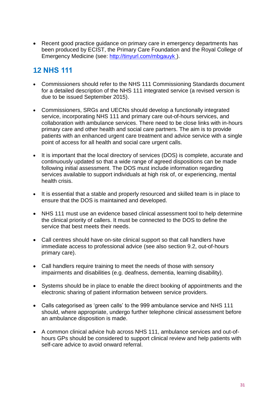• Recent good practice guidance on primary care in emergency departments has been produced by ECIST, the Primary Care Foundation and the Royal College of Emergency Medicine (see:<http://tinyurl.com/mbgauyk> ).

# <span id="page-30-0"></span>**12 NHS 111**

- Commissioners should refer to the NHS 111 Commissioning Standards document for a detailed description of the NHS 111 integrated service (a revised version is due to be issued September 2015).
- Commissioners, SRGs and UECNs should develop a functionally integrated service, incorporating NHS 111 and primary care out-of-hours services, and collaboration with ambulance services. There need to be close links with in-hours primary care and other health and social care partners. The aim is to provide patients with an enhanced urgent care treatment and advice service with a single point of access for all health and social care urgent calls.
- It is important that the local directory of services (DOS) is complete, accurate and continuously updated so that a wide range of agreed dispositions can be made following initial assessment. The DOS must include information regarding services available to support individuals at high risk of, or experiencing, mental health crisis.
- It is essential that a stable and properly resourced and skilled team is in place to ensure that the DOS is maintained and developed.
- NHS 111 must use an evidence based clinical assessment tool to help determine the clinical priority of callers. It must be connected to the DOS to define the service that best meets their needs.
- Call centres should have on-site clinical support so that call handlers have immediate access to professional advice (see also section 9.2, out-of-hours primary care).
- Call handlers require training to meet the needs of those with sensory impairments and disabilities (e.g. deafness, dementia, learning disability).
- Systems should be in place to enable the direct booking of appointments and the electronic sharing of patient information between service providers.
- Calls categorised as 'green calls' to the 999 ambulance service and NHS 111 should, where appropriate, undergo further telephone clinical assessment before an ambulance disposition is made.
- A common clinical advice hub across NHS 111, ambulance services and out-ofhours GPs should be considered to support clinical review and help patients with self-care advice to avoid onward referral.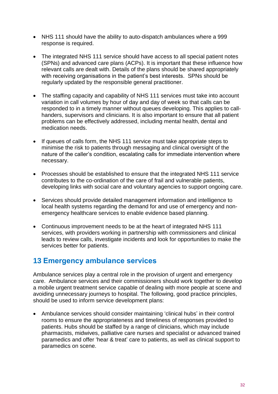- NHS 111 should have the ability to auto-dispatch ambulances where a 999 response is required.
- The integrated NHS 111 service should have access to all special patient notes (SPNs) and advanced care plans (ACPs). It is important that these influence how relevant calls are dealt with. Details of the plans should be shared appropriately with receiving organisations in the patient's best interests. SPNs should be regularly updated by the responsible general practitioner.
- The staffing capacity and capability of NHS 111 services must take into account variation in call volumes by hour of day and day of week so that calls can be responded to in a timely manner without queues developing. This applies to callhanders, supervisors and clinicians. It is also important to ensure that all patient problems can be effectively addressed, including mental health, dental and medication needs.
- If queues of calls form, the NHS 111 service must take appropriate steps to minimise the risk to patients through messaging and clinical oversight of the nature of the caller's condition, escalating calls for immediate intervention where necessary.
- Processes should be established to ensure that the integrated NHS 111 service contributes to the co-ordination of the care of frail and vulnerable patients, developing links with social care and voluntary agencies to support ongoing care.
- Services should provide detailed management information and intelligence to local health systems regarding the demand for and use of emergency and nonemergency healthcare services to enable evidence based planning.
- Continuous improvement needs to be at the heart of integrated NHS 111 services, with providers working in partnership with commissioners and clinical leads to review calls, investigate incidents and look for opportunities to make the services better for patients.

### <span id="page-31-0"></span>**13 Emergency ambulance services**

Ambulance services play a central role in the provision of urgent and emergency care. Ambulance services and their commissioners should work together to develop a mobile urgent treatment service capable of dealing with more people at scene and avoiding unnecessary journeys to hospital. The following, good practice principles, should be used to inform service development plans:

 Ambulance services should consider maintaining 'clinical hubs' in their control rooms to ensure the appropriateness and timeliness of responses provided to patients. Hubs should be staffed by a range of clinicians, which may include pharmacists, midwives, palliative care nurses and specialist or advanced trained paramedics and offer 'hear & treat' care to patients, as well as clinical support to paramedics on scene.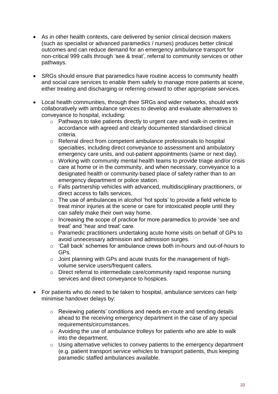- As in other health contexts, care delivered by senior clinical decision makers (such as specialist or advanced paramedics / nurses) produces better clinical outcomes and can reduce demand for an emergency ambulance transport for non-critical 999 calls through 'see & treat', referral to community services or other pathways.
- SRGs should ensure that paramedics have routine access to community health and social care services to enable them safely to manage more patients at scene, either treating and discharging or referring onward to other appropriate services.
- Local health communities, through their SRGs and wider networks, should work collaboratively with ambulance services to develop and evaluate alternatives to conveyance to hospital, including:
	- o Pathways to take patients directly to urgent care and walk-in centres in accordance with agreed and clearly documented standardised clinical criteria.
	- o Referral direct from competent ambulance professionals to hospital specialties, including direct conveyance to assessment and ambulatory emergency care units, and out-patient appointments (same or next day).
	- o Working with community mental health teams to provide triage and/or crisis care at home or in the community, and when necessary, conveyance to a designated health or community-based place of safety rather than to an emergency department or police station.
	- o Falls partnership vehicles with advanced, multidisciplinary practitioners, or direct access to falls services.
	- o The use of ambulances in alcohol 'hot spots' to provide a field vehicle to treat minor injuries at the scene or care for intoxicated people until they can safely make their own way home.
	- o Increasing the scope of practice for more paramedics to provide 'see and treat' and 'hear and treat' care.
	- o Paramedic practitioners undertaking acute home visits on behalf of GPs to avoid unnecessary admission and admission surges.
	- o 'Call back' schemes for ambulance crews both in-hours and out-of-hours to GPs.
	- o Joint planning with GPs and acute trusts for the management of highvolume service users/frequent callers.
	- o Direct referral to intermediate care/community rapid response nursing services and direct conveyance to hospices.
- For patients who do need to be taken to hospital, ambulance services can help minimise handover delays by:
	- o Reviewing patients' conditions and needs en-route and sending details ahead to the receiving emergency department in the case of any special requirements/circumstances.
	- o Avoiding the use of ambulance trolleys for patients who are able to walk into the department.
	- o Using alternative vehicles to convey patients to the emergency department (e.g. patient transport service vehicles to transport patients, thus keeping paramedic staffed ambulances available.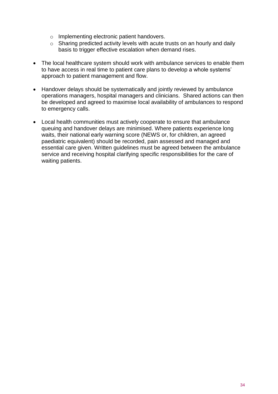- o Implementing electronic patient handovers.
- o Sharing predicted activity levels with acute trusts on an hourly and daily basis to trigger effective escalation when demand rises.
- The local healthcare system should work with ambulance services to enable them to have access in real time to patient care plans to develop a whole systems' approach to patient management and flow.
- Handover delays should be systematically and jointly reviewed by ambulance operations managers, hospital managers and clinicians. Shared actions can then be developed and agreed to maximise local availability of ambulances to respond to emergency calls.
- <span id="page-33-0"></span> Local health communities must actively cooperate to ensure that ambulance queuing and handover delays are minimised. Where patients experience long waits, their national early warning score (NEWS or, for children, an agreed paediatric equivalent) should be recorded, pain assessed and managed and essential care given. Written guidelines must be agreed between the ambulance service and receiving hospital clarifying specific responsibilities for the care of waiting patients.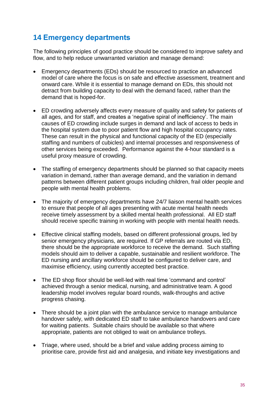### **14 Emergency departments**

The following principles of good practice should be considered to improve safety and flow, and to help reduce unwarranted variation and manage demand:

- Emergency departments (EDs) should be resourced to practice an advanced model of care where the focus is on safe and effective assessment, treatment and onward care. While it is essential to manage demand on EDs, this should not detract from building capacity to deal with the demand faced, rather than the demand that is hoped-for.
- ED crowding adversely affects every measure of quality and safety for patients of all ages, and for staff, and creates a 'negative spiral of inefficiency'. The main causes of ED crowding include surges in demand and lack of access to beds in the hospital system due to poor patient flow and high hospital occupancy rates. These can result in the physical and functional capacity of the ED (especially staffing and numbers of cubicles) and internal processes and responsiveness of other services being exceeded. Performance against the 4-hour standard is a useful proxy measure of crowding.
- The staffing of emergency departments should be planned so that capacity meets variation in demand, rather than average demand, and the variation in demand patterns between different patient groups including children, frail older people and people with mental health problems.
- The majority of emergency departments have 24/7 liaison mental health services to ensure that people of all ages presenting with acute mental health needs receive timely assessment by a skilled mental health professional. All ED staff should receive specific training in working with people with mental health needs.
- Effective clinical staffing models, based on different professional groups, led by senior emergency physicians, are required. If GP referrals are routed via ED, there should be the appropriate workforce to receive the demand. Such staffing models should aim to deliver a capable, sustainable and resilient workforce. The ED nursing and ancillary workforce should be configured to deliver care, and maximise efficiency, using currently accepted best practice.
- The ED shop floor should be well-led with real time 'command and control' achieved through a senior medical, nursing, and administrative team. A good leadership model involves regular board rounds, walk-throughs and active progress chasing.
- There should be a joint plan with the ambulance service to manage ambulance handover safely, with dedicated ED staff to take ambulance handovers and care for waiting patients. Suitable chairs should be available so that where appropriate, patients are not obliged to wait on ambulance trolleys.
- Triage, where used, should be a brief and value adding process aiming to prioritise care, provide first aid and analgesia, and initiate key investigations and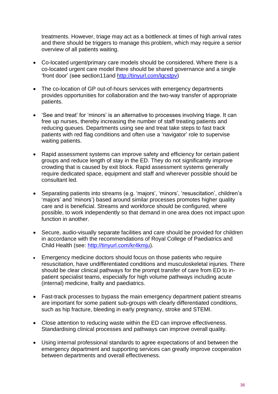treatments. However, triage may act as a bottleneck at times of high arrival rates and there should be triggers to manage this problem, which may require a senior overview of all patients waiting.

- Co-located urgent/primary care models should be considered. Where there is a co-located urgent care model there should be shared governance and a single 'front door' (see section11and [http://tinyurl.com/lqcstpv\)](http://tinyurl.com/lqcstpv)
- The co-location of GP out-of-hours services with emergency departments provides opportunities for collaboration and the two-way transfer of appropriate patients.
- 'See and treat' for 'minors' is an alternative to processes involving triage. It can free up nurses, thereby increasing the number of staff treating patients and reducing queues. Departments using see and treat take steps to fast track patients with red flag conditions and often use a 'navigator' role to supervise waiting patients.
- Rapid assessment systems can improve safety and efficiency for certain patient groups and reduce length of stay in the ED. They do not significantly improve crowding that is caused by exit block. Rapid assessment systems generally require dedicated space, equipment and staff and wherever possible should be consultant led.
- Separating patients into streams (e.g. 'majors', 'minors', 'resuscitation', children's 'majors' and 'minors') based around similar processes promotes higher quality care and is beneficial. Streams and workforce should be configured, where possible, to work independently so that demand in one area does not impact upon function in another.
- Secure, audio-visually separate facilities and care should be provided for children in accordance with the recommendations of Royal College of Paediatrics and Child Health (see: [http://tinyurl.com/kr4kmju\)](http://tinyurl.com/kr4kmju).
- Emergency medicine doctors should focus on those patients who require resuscitation, have undifferentiated conditions and musculoskeletal injuries. There should be clear clinical pathways for the prompt transfer of care from ED to inpatient specialist teams, especially for high volume pathways including acute (internal) medicine, frailty and paediatrics.
- Fast-track processes to bypass the main emergency department patient streams are important for some patient sub-groups with clearly differentiated conditions, such as hip fracture, bleeding in early pregnancy, stroke and STEMI.
- Close attention to reducing waste within the ED can improve effectiveness. Standardising clinical processes and pathways can improve overall quality.
- Using internal professional standards to agree expectations of and between the emergency department and supporting services can greatly improve cooperation between departments and overall effectiveness.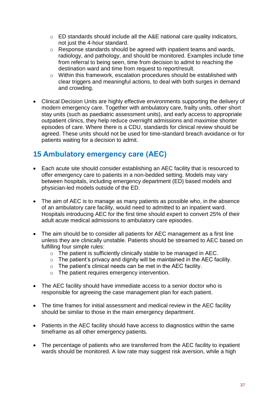- o ED standards should include all the A&E national care quality indicators, not just the 4-hour standard.
- o Response standards should be agreed with inpatient teams and wards, radiology, and pathology, and should be monitored. Examples include time from referral to being seen, time from decision to admit to reaching the destination ward and time from request to report/result.
- o Within this framework, escalation procedures should be established with clear triggers and meaningful actions, to deal with both surges in demand and crowding.
- Clinical Decision Units are highly effective environments supporting the delivery of modern emergency care. Together with ambulatory care, frailty units, other short stay units (such as paediatric assessment units), and early access to appropriate outpatient clinics, they help reduce overnight admissions and maximise shorter episodes of care. Where there is a CDU, standards for clinical review should be agreed. These units should not be used for time-standard breach avoidance or for patients waiting for a decision to admit.

### <span id="page-36-0"></span>**15 Ambulatory emergency care (AEC)**

- Each acute site should consider establishing an AEC facility that is resourced to offer emergency care to patients in a non-bedded setting. Models may vary between hospitals, including emergency department (ED) based models and physician-led models outside of the ED.
- The aim of AEC is to manage as many patients as possible who, in the absence of an ambulatory care facility, would need to admitted to an inpatient ward. Hospitals introducing AEC for the first time should expert to convert 25% of their adult acute medical admissions to ambulatory care episodes.
- The aim should be to consider all patients for AEC management as a first line unless they are clinically unstable. Patients should be streamed to AEC based on fulfilling four simple rules:
	- o The patient is sufficiently clinically stable to be managed in AEC.
	- $\circ$  The patient's privacy and dignity will be maintained in the AEC facility.
	- $\circ$  The patient's clinical needs can be met in the AEC facility.
	- o The patient requires emergency intervention.
- The AEC facility should have immediate access to a senior doctor who is responsible for agreeing the case management plan for each patient.
- The time frames for initial assessment and medical review in the AEC facility should be similar to those in the main emergency department.
- Patients in the AEC facility should have access to diagnostics within the same timeframe as all other emergency patients.
- The percentage of patients who are transferred from the AEC facility to inpatient wards should be monitored. A low rate may suggest risk aversion, while a high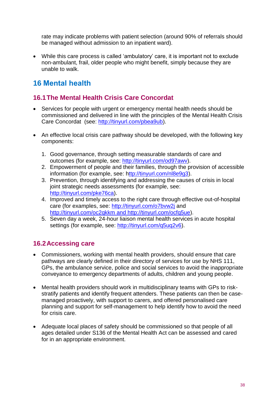rate may indicate problems with patient selection (around 90% of referrals should be managed without admission to an inpatient ward).

 While this care process is called 'ambulatory' care, it is important not to exclude non-ambulant, frail, older people who might benefit, simply because they are unable to walk.

### <span id="page-37-0"></span>**16 Mental health**

### <span id="page-37-1"></span>**16.1The Mental Health Crisis Care Concordat**

- Services for people with urgent or emergency mental health needs should be commissioned and delivered in line with the principles of the Mental Health Crisis Care Concordat (see: [http://tinyurl.com/pbea9ub\)](http://tinyurl.com/pbea9ub).
- An effective local crisis care pathway should be developed, with the following key components:
	- 1. Good governance, through setting measurable standards of care and outcomes (for example, see: [http://tinyurl.com/od97awv\)](http://tinyurl.com/od97awv).
	- 2. Empowerment of people and their families, through the provision of accessible information (for example, see: [http://tinyurl.com/nl8e9g3\)](http://tinyurl.com/nl8e9g3).
	- 3. Prevention, through identifying and addressing the causes of crisis in local joint strategic needs assessments (for example, see: [http://tinyurl.com/pke76ca\)](http://tinyurl.com/pke76ca).
	- 4. Improved and timely access to the right care through effective out-of-hospital care (for examples, see:<http://tinyurl.com/o7bvw2j> and <http://tinyurl.com/oc2qkkm> and [http://tinyurl.com/ocfq5ue\)](http://tinyurl.com/ocfq5ue).
	- 5. Seven day a week, 24-hour liaison mental health services in acute hospital settings (for example, see: [http://tinyurl.com/q5uq2v6\)](http://tinyurl.com/q5uq2v6).

### <span id="page-37-2"></span>**16.2Accessing care**

- Commissioners, working with mental health providers, should ensure that care pathways are clearly defined in their directory of services for use by NHS 111, GPs, the ambulance service, police and social services to avoid the inappropriate conveyance to emergency departments of adults, children and young people.
- Mental health providers should work in multidisciplinary teams with GPs to riskstratify patients and identify frequent attenders. These patients can then be casemanaged proactively, with support to carers, and offered personalised care planning and support for self-management to help identify how to avoid the need for crisis care.
- Adequate local places of safety should be commissioned so that people of all ages detailed under S136 of the Mental Health Act can be assessed and cared for in an appropriate environment.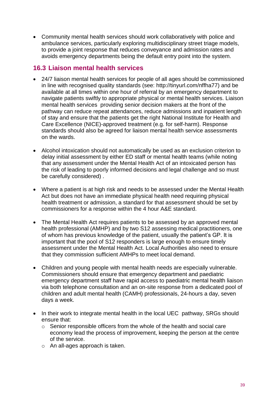Community mental health services should work collaboratively with police and ambulance services, particularly exploring multidisciplinary street triage models, to provide a joint response that reduces conveyance and admission rates and avoids emergency departments being the default entry point into the system.

#### <span id="page-38-0"></span>**16.3 Liaison mental health services**

- 24/7 liaison mental health services for people of all ages should be commissioned in line with recognised quality standards (see: [http://tinyurl.com/nffha77\)](http://tinyurl.com/nffha77) and be available at all times within one hour of referral by an emergency department to navigate patients swiftly to appropriate physical or mental health services. Liaison mental health services providing senior decision makers at the front of the pathway can reduce repeat attendances, reduce admissions and inpatient length of stay and ensure that the patients get the right National Institute for Health and Care Excellence (NICE)-approved treatment (e.g. for self-harm). Response standards should also be agreed for liaison mental health service assessments on the wards.
- Alcohol intoxication should not automatically be used as an exclusion criterion to delay initial assessment by either ED staff or mental health teams (while noting that any assessment under the Mental Health Act of an intoxicated person has the risk of leading to poorly informed decisions and legal challenge and so must be carefully considered) .
- Where a patient is at high risk and needs to be assessed under the Mental Health Act but does not have an immediate physical health need requiring physical health treatment or admission, a standard for that assessment should be set by commissioners for a response within the 4 hour A&E standard.
- The Mental Health Act requires patients to be assessed by an approved mental health professional (AMHP) and by two S12 assessing medical practitioners, one of whom has previous knowledge of the patient, usually the patient's GP. It is important that the pool of S12 responders is large enough to ensure timely assessment under the Mental Health Act. Local Authorities also need to ensure that they commission sufficient AMHPs to meet local demand.
- Children and young people with mental health needs are especially vulnerable. Commissioners should ensure that emergency department and paediatric emergency department staff have rapid access to paediatric mental health liaison via both telephone consultation and an on-site response from a dedicated pool of children and adult mental health (CAMH) professionals, 24-hours a day, seven days a week.
- In their work to integrate mental health in the local UEC pathway, SRGs should ensure that:
	- o Senior responsible officers from the whole of the health and social care economy lead the process of improvement, keeping the person at the centre of the service.
	- o An all-ages approach is taken.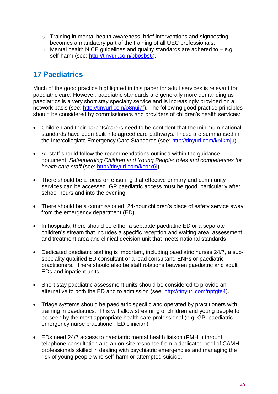- o Training in mental health awareness, brief interventions and signposting becomes a mandatory part of the training of all UEC professionals.
- $\circ$  Mental health NICE quidelines and quality standards are adhered to  $-$  e.g. self-harm (see: [http://tinyurl.com/pbpsbs6\)](http://tinyurl.com/pbpsbs6).

# <span id="page-39-0"></span>**17 Paediatrics**

Much of the good practice highlighted in this paper for adult services is relevant for paediatric care. However, paediatric standards are generally more demanding as paediatrics is a very short stay specialty service and is increasingly provided on a network basis (see: [http://tinyurl.com/o8nuj7f\)](http://tinyurl.com/o8nuj7f). The following good practice principles should be considered by commissioners and providers of children's health services:

- Children and their parents/carers need to be confident that the minimum national standards have been built into agreed care pathways. These are summarised in the Intercollegiate Emergency Care Standards (see: [http://tinyurl.com/kr4kmju\)](http://tinyurl.com/kr4kmju).
- All staff should follow the recommendations outlined within the guidance document, *Safeguarding Children and Young People: roles and competences for health care staff* (see: [http://tinyurl.com/kcorx6l\)](http://tinyurl.com/kcorx6l).
- There should be a focus on ensuring that effective primary and community services can be accessed. GP paediatric access must be good, particularly after school hours and into the evening.
- There should be a commissioned, 24-hour children's place of safety service away from the emergency department (ED).
- In hospitals, there should be either a separate paediatric ED or a separate children's stream that includes a specific reception and waiting area, assessment and treatment area and clinical decision unit that meets national standards.
- Dedicated paediatric staffing is important, including paediatric nurses 24/7, a subspeciality qualified ED consultant or a lead consultant, ENPs or paediatric practitioners. There should also be staff rotations between paediatric and adult EDs and inpatient units.
- Short stay paediatric assessment units should be considered to provide an alternative to both the ED and to admission (see: [http://tinyurl.com/npfgte4\)](http://tinyurl.com/npfgte4).
- Triage systems should be paediatric specific and operated by practitioners with training in paediatrics. This will allow streaming of children and young people to be seen by the most appropriate health care professional (e.g. GP, paediatric emergency nurse practitioner, ED clinician).
- EDs need 24/7 access to paediatric mental health liaison (PMHL) through telephone consultation and an on-site response from a dedicated pool of CAMH professionals skilled in dealing with psychiatric emergencies and managing the risk of young people who self-harm or attempted suicide.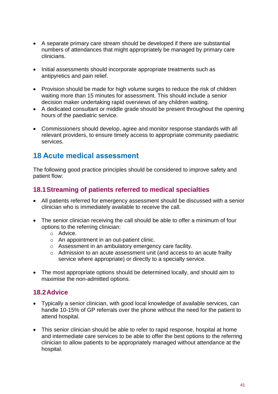- A separate primary care stream should be developed if there are substantial numbers of attendances that might appropriately be managed by primary care clinicians.
- Initial assessments should incorporate appropriate treatments such as antipyretics and pain relief.
- Provision should be made for high volume surges to reduce the risk of children waiting more than 15 minutes for assessment. This should include a senior decision maker undertaking rapid overviews of any children waiting.
- A dedicated consultant or middle grade should be present throughout the opening hours of the paediatric service.
- Commissioners should develop, agree and monitor response standards with all relevant providers, to ensure timely access to appropriate community paediatric services.

### <span id="page-40-0"></span>**18 Acute medical assessment**

The following good practice principles should be considered to improve safety and patient flow:

#### <span id="page-40-1"></span>**18.1Streaming of patients referred to medical specialties**

- All patients referred for emergency assessment should be discussed with a senior clinician who is immediately available to receive the call.
- The senior clinician receiving the call should be able to offer a minimum of four options to the referring clinician:
	- o Advice.
	- o An appointment in an out-patient clinic.
	- o Assessment in an ambulatory emergency care facility.
	- o Admission to an acute assessment unit (and access to an acute frailty service where appropriate) or directly to a specialty service.
- The most appropriate options should be determined locally, and should aim to maximise the non-admitted options.

#### <span id="page-40-2"></span>**18.2Advice**

- Typically a senior clinician, with good local knowledge of available services, can handle 10-15% of GP referrals over the phone without the need for the patient to attend hospital.
- This senior clinician should be able to refer to rapid response, hospital at home and intermediate care services to be able to offer the best options to the referring clinician to allow patients to be appropriately managed without attendance at the hospital.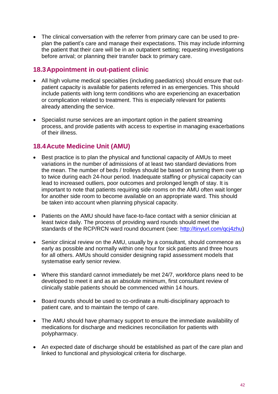• The clinical conversation with the referrer from primary care can be used to preplan the patient's care and manage their expectations. This may include informing the patient that their care will be in an outpatient setting; requesting investigations before arrival; or planning their transfer back to primary care.

#### <span id="page-41-0"></span>**18.3Appointment in out-patient clinic**

- All high volume medical specialties (including paediatrics) should ensure that outpatient capacity is available for patients referred in as emergencies. This should include patients with long term conditions who are experiencing an exacerbation or complication related to treatment. This is especially relevant for patients already attending the service.
- Specialist nurse services are an important option in the patient streaming process, and provide patients with access to expertise in managing exacerbations of their illness.

### <span id="page-41-1"></span>**18.4Acute Medicine Unit (AMU)**

- Best practice is to plan the physical and functional capacity of AMUs to meet variations in the number of admissions of at least two standard deviations from the mean. The number of beds / trolleys should be based on turning them over up to twice during each 24-hour period. Inadequate staffing or physical capacity can lead to increased outliers, poor outcomes and prolonged length of stay. It is important to note that patients requiring side rooms on the AMU often wait longer for another side room to become available on an appropriate ward. This should be taken into account when planning physical capacity.
- Patients on the AMU should have face-to-face contact with a senior clinician at least twice daily. The process of providing ward rounds should meet the standards of the RCP/RCN ward round document (see: [http://tinyurl.com/qcj4zhu\)](http://tinyurl.com/qcj4zhu)
- Senior clinical review on the AMU, usually by a consultant, should commence as early as possible and normally within one hour for sick patients and three hours for all others. AMUs should consider designing rapid assessment models that systematise early senior review.
- Where this standard cannot immediately be met 24/7, workforce plans need to be developed to meet it and as an absolute minimum, first consultant review of clinically stable patients should be commenced within 14 hours.
- Board rounds should be used to co-ordinate a multi-disciplinary approach to patient care, and to maintain the tempo of care.
- The AMU should have pharmacy support to ensure the immediate availability of medications for discharge and medicines reconciliation for patients with polypharmacy.
- An expected date of discharge should be established as part of the care plan and linked to functional and physiological criteria for discharge.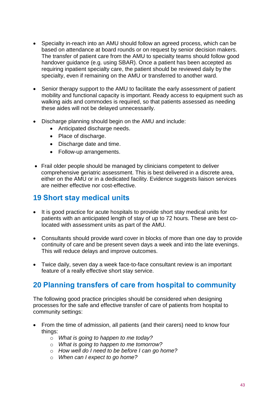- Specialty in-reach into an AMU should follow an agreed process, which can be based on attendance at board rounds or on request by senior decision makers. The transfer of patient care from the AMU to specialty teams should follow good handover guidance (e.g. using SBAR). Once a patient has been accepted as requiring inpatient specialty care, the patient should be reviewed daily by the specialty, even if remaining on the AMU or transferred to another ward.
- Senior therapy support to the AMU to facilitate the early assessment of patient mobility and functional capacity is important. Ready access to equipment such as walking aids and commodes is required, so that patients assessed as needing these aides will not be delayed unnecessarily.
- Discharge planning should begin on the AMU and include:
	- Anticipated discharge needs.
	- Place of discharge.
	- Discharge date and time.
	- Follow-up arrangements.
- Frail older people should be managed by clinicians competent to deliver comprehensive geriatric assessment. This is best delivered in a discrete area, either on the AMU or in a dedicated facility. Evidence suggests liaison services are neither effective nor cost-effective.

### <span id="page-42-0"></span>**19 Short stay medical units**

- It is good practice for acute hospitals to provide short stay medical units for patients with an anticipated length of stay of up to 72 hours. These are best colocated with assessment units as part of the AMU.
- Consultants should provide ward cover in blocks of more than one day to provide continuity of care and be present seven days a week and into the late evenings. This will reduce delays and improve outcomes.
- Twice daily, seven day a week face-to-face consultant review is an important feature of a really effective short stay service.

### <span id="page-42-1"></span>**20 Planning transfers of care from hospital to community**

The following good practice principles should be considered when designing processes for the safe and effective transfer of care of patients from hospital to community settings:

- From the time of admission, all patients (and their carers) need to know four things:
	- o *What is going to happen to me today?*
	- o *What is going to happen to me tomorrow?*
	- o *How well do I need to be before I can go home?*
	- o *When can I expect to go home?*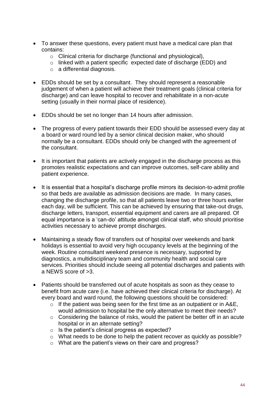- To answer these questions, every patient must have a medical care plan that contains:
	- o Clinical criteria for discharge (functional and physiological),
	- o linked with a patient specific expected date of discharge (EDD) and
	- o a differential diagnosis.
- EDDs should be set by a consultant. They should represent a reasonable judgement of when a patient will achieve their treatment goals (clinical criteria for discharge) and can leave hospital to recover and rehabilitate in a non-acute setting (usually in their normal place of residence).
- EDDs should be set no longer than 14 hours after admission.
- The progress of every patient towards their EDD should be assessed every day at a board or ward round led by a senior clinical decision maker, who should normally be a consultant. EDDs should only be changed with the agreement of the consultant.
- It is important that patients are actively engaged in the discharge process as this promotes realistic expectations and can improve outcomes, self-care ability and patient experience.
- It is essential that a hospital's discharge profile mirrors its decision-to-admit profile so that beds are available as admission decisions are made. In many cases, changing the discharge profile, so that all patients leave two or three hours earlier each day, will be sufficient. This can be achieved by ensuring that take-out drugs, discharge letters, transport, essential equipment and carers are all prepared. Of equal importance is a 'can-do' attitude amongst clinical staff, who should prioritise activities necessary to achieve prompt discharges.
- Maintaining a steady flow of transfers out of hospital over weekends and bank holidays is essential to avoid very high occupancy levels at the beginning of the week. Routine consultant weekend presence is necessary, supported by diagnostics, a multidisciplinary team and community health and social care services. Priorities should include seeing all potential discharges and patients with a NEWS score of >3.
- Patients should be transferred out of acute hospitals as soon as they cease to benefit from acute care (i.e. have achieved their clinical criteria for discharge). At every board and ward round, the following questions should be considered:
	- $\circ$  If the patient was being seen for the first time as an outpatient or in A&E, would admission to hospital be the only alternative to meet their needs?
	- o Considering the balance of risks, would the patient be better off in an acute hospital or in an alternate setting?
	- o Is the patient's clinical progress as expected?
	- o What needs to be done to help the patient recover as quickly as possible?
	- o What are the patient's views on their care and progress?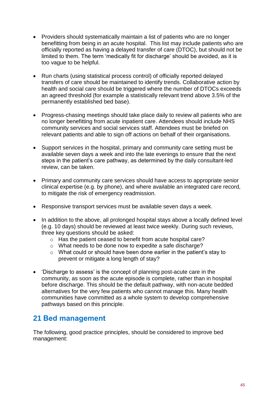- Providers should systematically maintain a list of patients who are no longer benefitting from being in an acute hospital. This list may include patients who are officially reported as having a delayed transfer of care (DTOC), but should not be limited to them. The term 'medically fit for discharge' should be avoided, as it is too vague to be helpful.
- Run charts (using statistical process control) of officially reported delayed transfers of care should be maintained to identify trends. Collaborative action by health and social care should be triggered where the number of DTOCs exceeds an agreed threshold (for example a statistically relevant trend above 3.5% of the permanently established bed base).
- Progress-chasing meetings should take place daily to review all patients who are no longer benefitting from acute inpatient care. Attendees should include NHS community services and social services staff. Attendees must be briefed on relevant patients and able to sign off actions on behalf of their organisations.
- Support services in the hospital, primary and community care setting must be available seven days a week and into the late evenings to ensure that the next steps in the patient's care pathway, as determined by the daily consultant-led review, can be taken.
- Primary and community care services should have access to appropriate senior clinical expertise (e.g. by phone), and where available an integrated care record, to mitigate the risk of emergency readmission.
- Responsive transport services must be available seven days a week.
- In addition to the above, all prolonged hospital stays above a locally defined level (e.g. 10 days) should be reviewed at least twice weekly. During such reviews, three key questions should be asked:
	- o Has the patient ceased to benefit from acute hospital care?
	- o What needs to be done now to expedite a safe discharge?
	- o What could or should have been done earlier in the patient's stay to prevent or mitigate a long length of stay?
- 'Discharge to assess' is the concept of planning post-acute care in the community, as soon as the acute episode is complete, rather than in hospital before discharge. This should be the default pathway, with non-acute bedded alternatives for the very few patients who cannot manage this. Many health communities have committed as a whole system to develop comprehensive pathways based on this principle.

### <span id="page-44-0"></span>**21 Bed management**

The following, good practice principles, should be considered to improve bed management: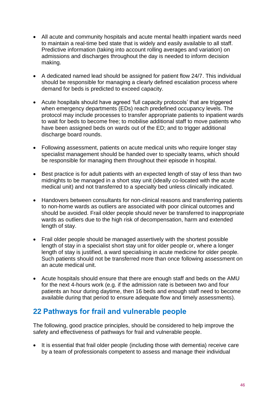- All acute and community hospitals and acute mental health inpatient wards need to maintain a real-time bed state that is widely and easily available to all staff. Predictive information (taking into account rolling averages and variation) on admissions and discharges throughout the day is needed to inform decision making.
- A dedicated named lead should be assigned for patient flow 24/7. This individual should be responsible for managing a clearly defined escalation process where demand for beds is predicted to exceed capacity.
- Acute hospitals should have agreed 'full capacity protocols' that are triggered when emergency departments (EDs) reach predefined occupancy levels. The protocol may include processes to transfer appropriate patients to inpatient wards to wait for beds to become free; to mobilise additional staff to move patients who have been assigned beds on wards out of the ED; and to trigger additional discharge board rounds.
- Following assessment, patients on acute medical units who require longer stay specialist management should be handed over to specialty teams, which should be responsible for managing them throughout their episode in hospital.
- Best practice is for adult patients with an expected length of stay of less than two midnights to be managed in a short stay unit (ideally co-located with the acute medical unit) and not transferred to a specialty bed unless clinically indicated.
- Handovers between consultants for non-clinical reasons and transferring patients to non-home wards as outliers are associated with poor clinical outcomes and should be avoided. Frail older people should never be transferred to inappropriate wards as outliers due to the high risk of decompensation, harm and extended length of stay.
- Frail older people should be managed assertively with the shortest possible length of stay in a specialist short stay unit for older people or, where a longer length of stay is justified, a ward specialising in acute medicine for older people. Such patients should not be transferred more than once following assessment on an acute medical unit.
- Acute hospitals should ensure that there are enough staff and beds on the AMU for the next 4-hours work (e.g. if the admission rate is between two and four patients an hour during daytime, then 16 beds and enough staff need to become available during that period to ensure adequate flow and timely assessments).

### <span id="page-45-0"></span>**22 Pathways for frail and vulnerable people**

The following, good practice principles, should be considered to help improve the safety and effectiveness of pathways for frail and vulnerable people.

 It is essential that frail older people (including those with dementia) receive care by a team of professionals competent to assess and manage their individual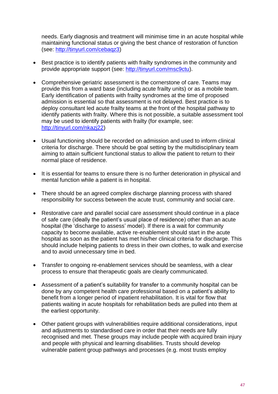needs. Early diagnosis and treatment will minimise time in an acute hospital while maintaining functional status or giving the best chance of restoration of function (see: [http://tinyurl.com/cebaqz3\)](http://tinyurl.com/cebaqz3)

- Best practice is to identify patients with frailty syndromes in the community and provide appropriate support (see: [http://tinyurl.com/msc9ctu\)](http://tinyurl.com/msc9ctu).
- Comprehensive geriatric assessment is the cornerstone of care. Teams may provide this from a ward base (including acute frailty units) or as a mobile team. Early identification of patients with frailty syndromes at the time of proposed admission is essential so that assessment is not delayed. Best practice is to deploy consultant led acute frailty teams at the front of the hospital pathway to identify patients with frailty. Where this is not possible, a suitable assessment tool may be used to identify patients with frailty (for example, see: [http://tinyurl.com/nkazj22\)](http://tinyurl.com/nkazj22)
- Usual functioning should be recorded on admission and used to inform clinical criteria for discharge. There should be goal setting by the multidisciplinary team aiming to attain sufficient functional status to allow the patient to return to their normal place of residence.
- It is essential for teams to ensure there is no further deterioration in physical and mental function while a patient is in hospital.
- There should be an agreed complex discharge planning process with shared responsibility for success between the acute trust, community and social care.
- Restorative care and parallel social care assessment should continue in a place of safe care (ideally the patient's usual place of residence) other than an acute hospital (the 'discharge to assess' model). If there is a wait for community capacity to become available, active re-enablement should start in the acute hospital as soon as the patient has met his/her clinical criteria for discharge. This should include helping patients to dress in their own clothes, to walk and exercise and to avoid unnecessary time in bed.
- Transfer to ongoing re-enablement services should be seamless, with a clear process to ensure that therapeutic goals are clearly communicated.
- Assessment of a patient's suitability for transfer to a community hospital can be done by any competent health care professional based on a patient's ability to benefit from a longer period of inpatient rehabilitation. It is vital for flow that patients waiting in acute hospitals for rehabilitation beds are pulled into them at the earliest opportunity.
- Other patient groups with vulnerabilities require additional considerations, input and adjustments to standardised care in order that their needs are fully recognised and met. These groups may include people with acquired brain injury and people with physical and learning disabilities. Trusts should develop vulnerable patient group pathways and processes (e.g. most trusts employ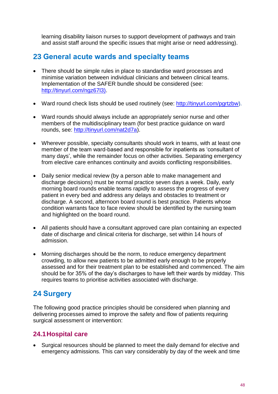learning disability liaison nurses to support development of pathways and train and assist staff around the specific issues that might arise or need addressing).

### <span id="page-47-0"></span>**23 General acute wards and specialty teams**

- There should be simple rules in place to standardise ward processes and minimise variation between individual clinicians and between clinical teams. Implementation of the SAFER bundle should be considered (see: [http://tinyurl.com/ngz67l3\).](http://tinyurl.com/ngz67l3))
- Ward round check lists should be used routinely (see: [http://tinyurl.com/pgrtzbw\)](http://tinyurl.com/pgrtzbw).
- Ward rounds should always include an appropriately senior nurse and other members of the multidisciplinary team (for best practice guidance on ward rounds, see: [http://tinyurl.com/nat2d7a\)](http://tinyurl.com/nat2d7a).
- Wherever possible, specialty consultants should work in teams, with at least one member of the team ward-based and responsible for inpatients as 'consultant of many days', while the remainder focus on other activities. Separating emergency from elective care enhances continuity and avoids conflicting responsibilities.
- Daily senior medical review (by a person able to make management and discharge decisions) must be normal practice seven days a week. Daily, early morning board rounds enable teams rapidly to assess the progress of every patient in every bed and address any delays and obstacles to treatment or discharge. A second, afternoon board round is best practice. Patients whose condition warrants face to face review should be identified by the nursing team and highlighted on the board round.
- All patients should have a consultant approved care plan containing an expected date of discharge and clinical criteria for discharge, set within 14 hours of admission.
- Morning discharges should be the norm, to reduce emergency department crowding, to allow new patients to be admitted early enough to be properly assessed and for their treatment plan to be established and commenced. The aim should be for 35% of the day's discharges to have left their wards by midday. This requires teams to prioritise activities associated with discharge.

### <span id="page-47-1"></span>**24 Surgery**

The following good practice principles should be considered when planning and delivering processes aimed to improve the safety and flow of patients requiring surgical assessment or intervention:

#### <span id="page-47-2"></span>**24.1Hospital care**

 Surgical resources should be planned to meet the daily demand for elective and emergency admissions. This can vary considerably by day of the week and time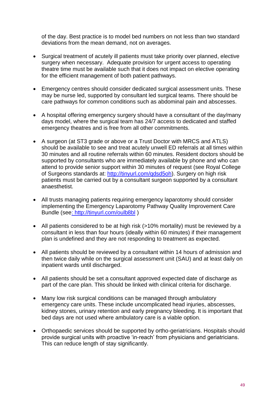of the day. Best practice is to model bed numbers on not less than two standard deviations from the mean demand, not on averages.

- Surgical treatment of acutely ill patients must take priority over planned, elective surgery when necessary. Adequate provision for urgent access to operating theatre time must be available such that it does not impact on elective operating for the efficient management of both patient pathways.
- Emergency centres should consider dedicated surgical assessment units. These may be nurse led, supported by consultant led surgical teams. There should be care pathways for common conditions such as abdominal pain and abscesses.
- A hospital offering emergency surgery should have a consultant of the day/many days model, where the surgical team has 24/7 access to dedicated and staffed emergency theatres and is free from all other commitments.
- A surgeon (at ST3 grade or above or a Trust Doctor with MRCS and ATLS) should be available to see and treat acutely unwell ED referrals at all times within 30 minutes and all routine referrals within 60 minutes. Resident doctors should be supported by consultants who are immediately available by phone and who can attend to provide senior support within 30 minutes of request (see Royal College of Surgeons standards at: [http://tinyurl.com/qdsd5oh\)](http://tinyurl.com/qdsd5oh). Surgery on high risk patients must be carried out by a consultant surgeon supported by a consultant anaesthetist.
- All trusts managing patients requiring emergency laparotomy should consider implementing the Emergency Laparotomy Pathway Quality Improvement Care Bundle (se[e: http://tinyurl.com/oulb8bl](file://ims.gov.uk/data/DH/London/SKH/NW098/NHS%20CB/Medical%20Directorate/Emergency%20Care%20Review%202013/Phase%202%20Programme%20Docs/Programme%20Products/Project%20Owned%20Products/4.2.1%20Patient%20Flow/:%20http:/tinyurl.com/oulb8bl) )
- All patients considered to be at high risk (>10% mortality) must be reviewed by a consultant in less than four hours (ideally within 60 minutes) if their management plan is undefined and they are not responding to treatment as expected.
- All patients should be reviewed by a consultant within 14 hours of admission and then twice daily while on the surgical assessment unit (SAU) and at least daily on inpatient wards until discharged.
- All patients should be set a consultant approved expected date of discharge as part of the care plan. This should be linked with clinical criteria for discharge.
- Many low risk surgical conditions can be managed through ambulatory emergency care units. These include uncomplicated head injuries, abscesses, kidney stones, urinary retention and early pregnancy bleeding. It is important that bed days are not used where ambulatory care is a viable option.
- Orthopaedic services should be supported by ortho-geriatricians. Hospitals should provide surgical units with proactive 'in-reach' from physicians and geriatricians. This can reduce length of stay significantly.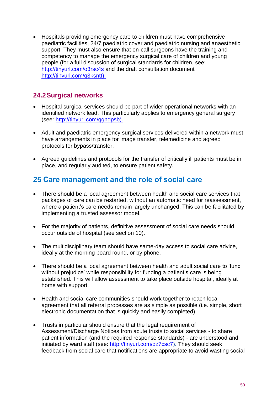Hospitals providing emergency care to children must have comprehensive paediatric facilities, 24/7 paediatric cover and paediatric nursing and anaesthetic support. They must also ensure that on-call surgeons have the training and competency to manage the emergency surgical care of children and young people (for a full discussion of surgical standards for children, see: <http://tinyurl.com/o3rsc4s> and the draft consultation document [http://tinyurl.com/q3ksntt\).](http://tinyurl.com/q3ksntt).)

### <span id="page-49-0"></span>**24.2Surgical networks**

- Hospital surgical services should be part of wider operational networks with an identified network lead. This particularly applies to emergency general surgery (see: [http://tinyurl.com/qgndpsb\).](http://tinyurl.com/qgndpsb).)
- Adult and paediatric emergency surgical services delivered within a network must have arrangements in place for image transfer, telemedicine and agreed protocols for bypass/transfer.
- Agreed guidelines and protocols for the transfer of critically ill patients must be in place, and regularly audited, to ensure patient safety.

### <span id="page-49-1"></span>**25 Care management and the role of social care**

- There should be a local agreement between health and social care services that packages of care can be restarted, without an automatic need for reassessment, where a patient's care needs remain largely unchanged. This can be facilitated by implementing a trusted assessor model.
- For the majority of patients, definitive assessment of social care needs should occur outside of hospital (see section 10).
- The multidisciplinary team should have same-day access to social care advice, ideally at the morning board round, or by phone.
- There should be a local agreement between health and adult social care to 'fund without prejudice' while responsibility for funding a patient's care is being established. This will allow assessment to take place outside hospital, ideally at home with support.
- Health and social care communities should work together to reach local agreement that all referral processes are as simple as possible (i.e. simple, short electronic documentation that is quickly and easily completed).
- Trusts in particular should ensure that the legal requirement of Assessment/Discharge Notices from acute trusts to social services - to share patient information (and the required response standards) - are understood and initiated by ward staff (see: [http://tinyurl.com/qz7csc7\)](http://tinyurl.com/qz7csc7). They should seek feedback from social care that notifications are appropriate to avoid wasting social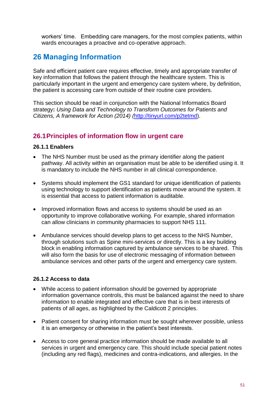workers' time. Embedding care managers, for the most complex patients, within wards encourages a proactive and co-operative approach.

### <span id="page-50-0"></span>**26 Managing Information**

Safe and efficient patient care requires effective, timely and appropriate transfer of key information that follows the patient through the healthcare system. This is particularly important in the urgent and emergency care system where, by definition, the patient is accessing care from outside of their routine care providers.

This section should be read in conjunction with the National Informatics Board strategy**:** *Using Data and Technology to Transform Outcomes for Patients and Citizens, A framework for Action (2014) (*[http://tinyurl.com/p2tetmd\)](http://tinyurl.com/p2tetmd).

#### <span id="page-50-1"></span>**26.1Principles of information flow in urgent care**

#### <span id="page-50-2"></span>**26.1.1 Enablers**

- The NHS Number must be used as the primary identifier along the patient pathway. All activity within an organisation must be able to be identified using it. It is mandatory to include the NHS number in all clinical correspondence.
- Systems should implement the GS1 standard for unique identification of patients using technology to support identification as patients move around the system. It is essential that access to patient information is auditable.
- Improved information flows and access to systems should be used as an opportunity to improve collaborative working. For example, shared information can allow clinicians in community pharmacies to support NHS 111.
- Ambulance services should develop plans to get access to the NHS Number, through solutions such as Spine mini-services or directly. This is a key building block in enabling information captured by ambulance services to be shared. This will also form the basis for use of electronic messaging of information between ambulance services and other parts of the urgent and emergency care system.

#### <span id="page-50-3"></span>**26.1.2 Access to data**

- While access to patient information should be governed by appropriate information governance controls, this must be balanced against the need to share information to enable integrated and effective care that is in best interests of patients of all ages, as highlighted by the Caldicott 2 principles.
- Patient consent for sharing information must be sought wherever possible, unless it is an emergency or otherwise in the patient's best interests.
- Access to core general practice information should be made available to all services in urgent and emergency care. This should include special patient notes (including any red flags), medicines and contra-indications, and allergies. In the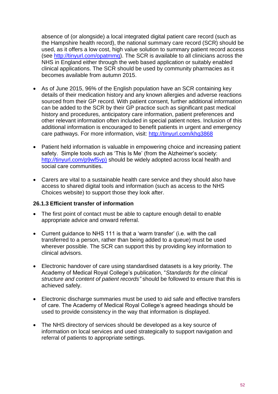absence of (or alongside) a local integrated digital patient care record (such as the Hampshire health record), the national summary care record (SCR) should be used, as it offers a low cost, high value solution to summary patient record access (see [http://tinyurl.com/opatmmq\)](http://tinyurl.com/opatmmq). The SCR is available to all clinicians across the NHS in England either through the web based application or suitably enabled clinical applications. The SCR should be used by community pharmacies as it becomes available from autumn 2015.

- As of June 2015, 96% of the English population have an SCR containing key details of their medication history and any known allergies and adverse reactions sourced from their GP record. With patient consent, further additional information can be added to the SCR by their GP practice such as significant past medical history and procedures, anticipatory care information, patient preferences and other relevant information often included in special patient notes. Inclusion of this additional information is encouraged to benefit patients in urgent and emergency care pathways. For more information, visit: <http://tinyurl.com/khg3868>
- Patient held information is valuable in empowering choice and increasing patient safety. Simple tools such as 'This Is Me' (from the Alzheimer's society: [http://tinyurl.com/p9wf5vp\)](http://tinyurl.com/p9wf5vp)) should be widely adopted across local health and social care communities.
- Carers are vital to a sustainable health care service and they should also have access to shared digital tools and information (such as access to the NHS Choices website) to support those they look after.

#### <span id="page-51-0"></span>**26.1.3 Efficient transfer of information**

- The first point of contact must be able to capture enough detail to enable appropriate advice and onward referral.
- Current guidance to NHS 111 is that a 'warm transfer' (i.e. with the call transferred to a person, rather than being added to a queue) must be used wherever possible. The SCR can support this by providing key information to clinical advisors.
- Electronic handover of care using standardised datasets is a key priority. The Academy of Medical Royal College's publication, "*Standards for the clinical structure and content of patient records"* should be followed to ensure that this is achieved safely.
- Electronic discharge summaries must be used to aid safe and effective transfers of care. The Academy of Medical Royal College's agreed headings should be used to provide consistency in the way that information is displayed.
- The NHS directory of services should be developed as a key source of information on local services and used strategically to support navigation and referral of patients to appropriate settings.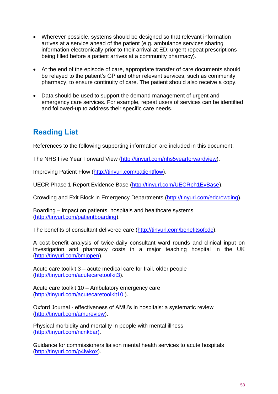- Wherever possible, systems should be designed so that relevant information arrives at a service ahead of the patient (e.g. ambulance services sharing information electronically prior to their arrival at ED; urgent repeat prescriptions being filled before a patient arrives at a community pharmacy).
- At the end of the episode of care, appropriate transfer of care documents should be relayed to the patient's GP and other relevant services, such as community pharmacy, to ensure continuity of care. The patient should also receive a copy.
- Data should be used to support the demand management of urgent and emergency care services. For example, repeat users of services can be identified and followed-up to address their specific care needs.

# **Reading List**

References to the following supporting information are included in this document:

The NHS Five Year Forward View [\(http://tinyurl.com/nhs5yearforwardview\)](http://tinyurl.com/nhs5yearforwardview).

Improving Patient Flow [\(http://tinyurl.com/patientflow\)](http://tinyurl.com/patientflow).

UECR Phase 1 Report Evidence Base [\(http://tinyurl.com/UECRph1EvBase\)](http://tinyurl.com/UECRph1EvBase).

Crowding and Exit Block in Emergency Departments [\(http://tinyurl.com/edcrowding\)](http://tinyurl.com/edcrowding).

Boarding – impact on patients, hospitals and healthcare systems [\(http://tinyurl.com/patientboarding\)](http://tinyurl.com/patientboarding).

The benefits of consultant delivered care [\(http://tinyurl.com/benefitsofcdc\)](http://tinyurl.com/benefitsofcdc).

A cost-benefit analysis of twice-daily consultant ward rounds and clinical input on investigation and pharmacy costs in a major teaching hospital in the UK [\(http://tinyurl.com/bmjopen\)](http://tinyurl.com/bmjopen).

Acute care toolkit 3 – acute medical care for frail, older people [\(http://tinyurl.com/acutecaretoolkit3\)](http://tinyurl.com/acutecaretoolkit3).

Acute care toolkit 10 – Ambulatory emergency care [\(http://tinyurl.com/acutecaretoolkit10](http://tinyurl.com/acutecaretoolkit10) ).

Oxford Journal - effectiveness of AMU's in hospitals: a systematic review [\(http://tinyurl.com/amureview\)](http://tinyurl.com/amureview).

Physical morbidity and mortality in people with mental illness [\(http://tinyurl.com/ncnkbar\).](http://tinyurl.com/ncnkbar))

Guidance for commissioners liaison mental health services to acute hospitals [\(http://tinyurl.com/p4lwkox\)](http://tinyurl.com/p4lwkox).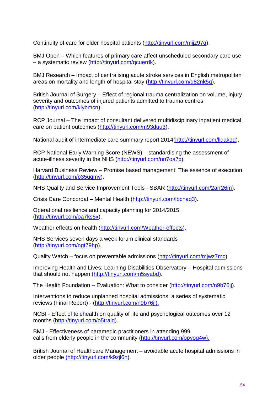Continuity of care for older hospital patients [\(http://tinyurl.com/mjjz97g\)](http://tinyurl.com/mjjz97g).

BMJ Open – Which features of primary care affect unscheduled secondary care use – a systematic review [\(http://tinyurl.com/qcuerdk\)](http://tinyurl.com/qcuerdk).

BMJ Research – Impact of centralising acute stroke services in English metropolitan areas on mortality and length of hospital stay [\(http://tinyurl.com/q82nk5q\)](http://tinyurl.com/q82nk5q).

British Journal of Surgery – Effect of regional trauma centralization on volume, injury severity and outcomes of injured patients admitted to trauma centres [\(http://tinyurl.com/klybmcn\)](http://tinyurl.com/klybmcn).

RCP Journal – The impact of consultant delivered multidisciplinary inpatient medical care on patient outcomes [\(http://tinyurl.com/m93duu3\)](http://tinyurl.com/m93duu3).

National audit of intermediate care summary report 2014[\(http://tinyurl.com/llgak9d\)](http://tinyurl.com/llgak9d).

RCP National Early Warning Score (NEWS) – standardising the assessment of acute-illness severity in the NHS [\(http://tinyurl.com/nn7oa7x\)](http://tinyurl.com/nn7oa7x).

Harvard Business Review – Promise based management: The essence of execution [\(http://tinyurl.com/p35uqmv\)](http://tinyurl.com/p35uqmv).

NHS Quality and Service Improvement Tools - SBAR [\(http://tinyurl.com/2arr26m\)](http://tinyurl.com/2arr26m).

Crisis Care Concordat – Mental Health [\(http://tinyurl.com/lbcnaq3\)](http://tinyurl.com/lbcnaq3).

Operational resilience and capacity planning for 2014/2015 [\(http://tinyurl.com/oa7ks5x\)](http://tinyurl.com/oa7ks5x).

Weather effects on health [\(http://tinyurl.com/Weather-effects\)](http://tinyurl.com/Weather-effects).

NHS Services seven days a week forum clinical standards [\(http://tinyurl.com/ngt79hp\)](http://tinyurl.com/ngt79hp).

Quality Watch – focus on preventable admissions [\(http://tinyurl.com/mjwz7mc\)](http://tinyurl.com/mjwz7mc).

Improving Health and Lives: Learning Disabilities Observatory – Hospital admissions that should not happen [\(http://tinyurl.com/m5syabd\)](http://tinyurl.com/m5syabd).

The Health Foundation – Evaluation: What to consider [\(http://tinyurl.com/n9b76jj\)](http://tinyurl.com/n9b76jj).

Interventions to reduce unplanned hospital admissions: a series of systematic reviews (Final Report) - [\(http://tinyurl.com/n9b76jj\).](http://tinyurl.com/n9b76jj).)

NCBI - Effect of telehealth on quality of life and psychological outcomes over 12 months [\(http://tinyurl.com/o5tralq\)](http://tinyurl.com/o5tralq).

BMJ - Effectiveness of paramedic practitioners in attending 999 calls from elderly people in the community [\(http://tinyurl.com/opyog4w\).](http://tinyurl.com/opyog4w).)

British Journal of Healthcare Management – avoidable acute hospital admissions in older people [\(http://tinyurl.com/k9zjl6h\)](file://ims.gov.uk/data/DH/London/SKH/NW098/NHS%20CB/Medical%20Directorate/Emergency%20Care%20Review%202013/Phase%202%20Programme%20Docs/Programme%20Products/Project%20Owned%20Products/4.2.1%20Patient%20Flow/(http:/tinyurl.com/k9zjl6h).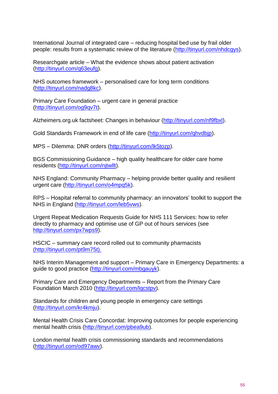International Journal of integrated care – reducing hospital bed use by frail older people: results from a systematic review of the literature [\(http://tinyurl.com/nhdcgys\)](http://tinyurl.com/nhdcgys).

Researchgate article – What the evidence shows about patient activation [\(http://tinyurl.com/q63eufg\)](http://tinyurl.com/q63eufg).

NHS outcomes framework – personalised care for long term conditions [\(http://tinyurl.com/nadg8kc\)](http://tinyurl.com/nadg8kc).

Primary Care Foundation – urgent care in general practice [\(http://tinyurl.com/og9qv7t\)](http://tinyurl.com/og9qv7t).

Alzheimers.org.uk factsheet: Changes in behaviour [\(http://tinyurl.com/nf9fbxl\)](http://tinyurl.com/nf9fbxl).

Gold Standards Framework in end of life care [\(http://tinyurl.com/qhvdbjp\)](http://tinyurl.com/qhvdbjp).

MPS – Dilemma: DNR orders [\(http://tinyurl.com/lk5tozp\)](http://tinyurl.com/lk5tozp).

BGS Commissioning Guidance – high quality healthcare for older care home residents [\(http://tinyurl.com/njtwllt\)](http://tinyurl.com/njtwllt).

NHS England: Community Pharmacy – helping provide better quality and resilient urgent care [\(http://tinyurl.com/o4mpq5k\)](http://tinyurl.com/o4mpq5k).

RPS – Hospital referral to community pharmacy: an innovators' toolkit to support the NHS in England [\(http://tinyurl.com/leb5vws\)](http://tinyurl.com/leb5vws).

Urgent Repeat Medication Requests Guide for NHS 111 Services: how to refer directly to pharmacy and optimise use of GP out of hours services (see [http://tinyurl.com/px7wps9\)](http://tinyurl.com/px7wps9).

HSCIC – summary care record rolled out to community pharmacists [\(http://tinyurl.com/pt9m75t\).](file://ims.gov.uk/data/DH/London/SKH/NW098/NHS%20CB/Medical%20Directorate/Emergency%20Care%20Review%202013/Phase%202%20Programme%20Docs/Programme%20Products/Project%20Owned%20Products/4.2.1%20Patient%20Flow/(http:/tinyurl.com/pt9m75t).)

NHS Interim Management and support – Primary Care in Emergency Departments: a guide to good practice [\(http://tinyurl.com/mbgauyk\)](http://tinyurl.com/mbgauyk).

Primary Care and Emergency Departments – Report from the Primary Care Foundation March 2010 [\(http://tinyurl.com/lqcstpv\)](http://tinyurl.com/lqcstpv).

Standards for children and young people in emergency care settings [\(http://tinyurl.com/kr4kmju\)](http://tinyurl.com/kr4kmju).

Mental Health Crisis Care Concordat: Improving outcomes for people experiencing mental health crisis [\(http://tinyurl.com/pbea9ub\)](http://tinyurl.com/pbea9ub).

London mental health crisis commissioning standards and recommendations [\(http://tinyurl.com/od97awv\)](http://tinyurl.com/od97awv).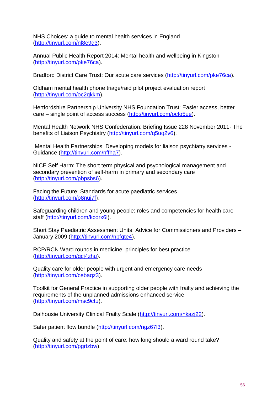NHS Choices: a guide to mental health services in England [\(http://tinyurl.com/nl8e9g3\)](http://tinyurl.com/nl8e9g3).

Annual Public Health Report 2014: Mental health and wellbeing in Kingston [\(http://tinyurl.com/pke76ca\)](http://tinyurl.com/pke76ca).

Bradford District Care Trust: Our acute care services [\(http://tinyurl.com/pke76ca\)](http://tinyurl.com/pke76ca).

Oldham mental health phone triage/raid pilot project evaluation report [\(http://tinyurl.com/oc2qkkm\)](http://tinyurl.com/oc2qkkm).

Hertfordshire Partnership University NHS Foundation Trust: Easier access, better care – single point of access success [\(http://tinyurl.com/ocfq5ue\)](http://tinyurl.com/ocfq5ue).

Mental Health Network NHS Confederation: Briefing Issue 228 November 2011- The benefits of Liaison Psychiatry [\(http://tinyurl.com/q5uq2v6\)](http://tinyurl.com/q5uq2v6).

Mental Health Partnerships: Developing models for liaison psychiatry services - Guidance [\(http://tinyurl.com/nffha7\)](http://tinyurl.com/nffha7).

NICE Self Harm: The short term physical and psychological management and secondary prevention of self-harm in primary and secondary care [\(http://tinyurl.com/pbpsbs6\)](http://tinyurl.com/pbpsbs6).

Facing the Future: Standards for acute paediatric services [\(http://tinyurl.com/o8nuj7f\)](http://tinyurl.com/o8nuj7f).

Safeguarding children and young people: roles and competencies for health care staff [\(http://tinyurl.com/kcorx6l\)](http://tinyurl.com/kcorx6l).

Short Stay Paediatric Assessment Units: Advice for Commissioners and Providers – January 2009 [\(http://tinyurl.com/npfgte4\)](http://tinyurl.com/npfgte4).

RCP/RCN Ward rounds in medicine: principles for best practice [\(http://tinyurl.com/qcj4zhu\)](http://tinyurl.com/qcj4zhu).

Quality care for older people with urgent and emergency care needs [\(http://tinyurl.com/cebaqz3\)](http://tinyurl.com/cebaqz3).

Toolkit for General Practice in supporting older people with frailty and achieving the requirements of the unplanned admissions enhanced service [\(http://tinyurl.com/msc9ctu\)](http://tinyurl.com/msc9ctu).

Dalhousie University Clinical Frailty Scale [\(http://tinyurl.com/nkazj22\)](http://tinyurl.com/nkazj22).

Safer patient flow bundle [\(http://tinyurl.com/ngz67l3\)](http://tinyurl.com/ngz67l3).

Quality and safety at the point of care: how long should a ward round take? [\(http://tinyurl.com/pgrtzbw\)](http://tinyurl.com/pgrtzbw).